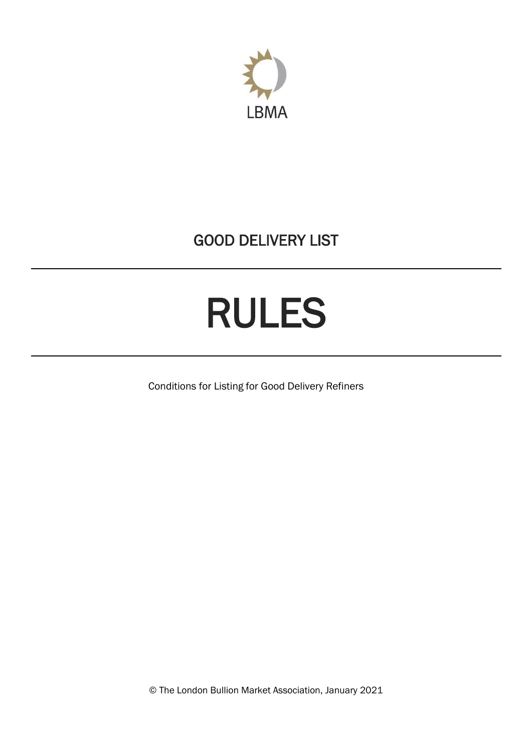

## GOOD DELIVERY LIST

# RULES

Conditions for Listing for Good Delivery Refiners

© The London Bullion Market Association, January 2021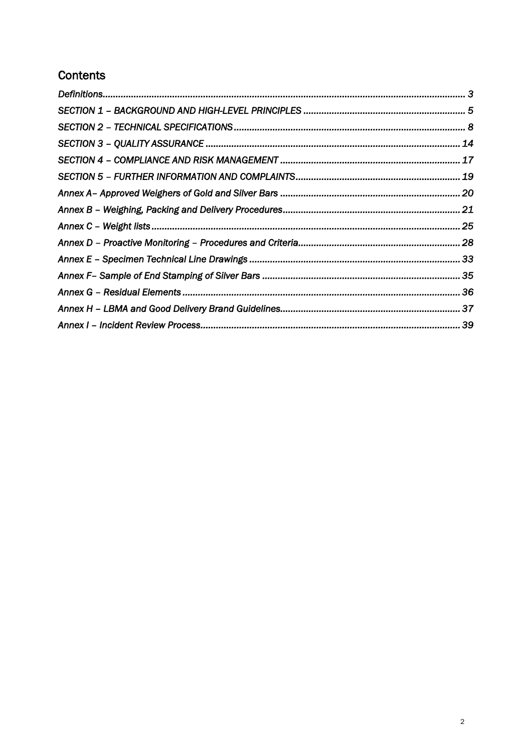## **Contents**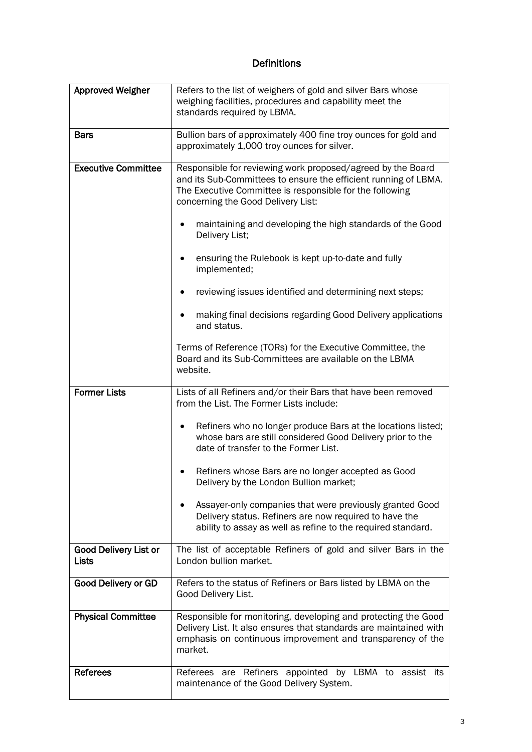## Definitions

<span id="page-2-0"></span>

| <b>Approved Weigher</b>        | Refers to the list of weighers of gold and silver Bars whose<br>weighing facilities, procedures and capability meet the<br>standards required by LBMA.                                                                           |  |  |  |  |  |
|--------------------------------|----------------------------------------------------------------------------------------------------------------------------------------------------------------------------------------------------------------------------------|--|--|--|--|--|
| <b>Bars</b>                    | Bullion bars of approximately 400 fine troy ounces for gold and<br>approximately 1,000 troy ounces for silver.                                                                                                                   |  |  |  |  |  |
| <b>Executive Committee</b>     | Responsible for reviewing work proposed/agreed by the Board<br>and its Sub-Committees to ensure the efficient running of LBMA.<br>The Executive Committee is responsible for the following<br>concerning the Good Delivery List: |  |  |  |  |  |
|                                | maintaining and developing the high standards of the Good<br>Delivery List;                                                                                                                                                      |  |  |  |  |  |
|                                | ensuring the Rulebook is kept up-to-date and fully<br>implemented;                                                                                                                                                               |  |  |  |  |  |
|                                | reviewing issues identified and determining next steps;                                                                                                                                                                          |  |  |  |  |  |
|                                | making final decisions regarding Good Delivery applications<br>and status.                                                                                                                                                       |  |  |  |  |  |
|                                | Terms of Reference (TORs) for the Executive Committee, the<br>Board and its Sub-Committees are available on the LBMA<br>website.                                                                                                 |  |  |  |  |  |
| <b>Former Lists</b>            | Lists of all Refiners and/or their Bars that have been removed<br>from the List. The Former Lists include:                                                                                                                       |  |  |  |  |  |
|                                | Refiners who no longer produce Bars at the locations listed;<br>٠<br>whose bars are still considered Good Delivery prior to the<br>date of transfer to the Former List.                                                          |  |  |  |  |  |
|                                | Refiners whose Bars are no longer accepted as Good<br>Delivery by the London Bullion market;                                                                                                                                     |  |  |  |  |  |
|                                | Assayer-only companies that were previously granted Good<br>Delivery status. Refiners are now required to have the<br>ability to assay as well as refine to the required standard.                                               |  |  |  |  |  |
| Good Delivery List or<br>Lists | The list of acceptable Refiners of gold and silver Bars in the<br>London bullion market.                                                                                                                                         |  |  |  |  |  |
| <b>Good Delivery or GD</b>     | Refers to the status of Refiners or Bars listed by LBMA on the<br>Good Delivery List.                                                                                                                                            |  |  |  |  |  |
| <b>Physical Committee</b>      | Responsible for monitoring, developing and protecting the Good<br>Delivery List. It also ensures that standards are maintained with<br>emphasis on continuous improvement and transparency of the<br>market.                     |  |  |  |  |  |
| <b>Referees</b>                | Referees are Refiners appointed by LBMA to assist its<br>maintenance of the Good Delivery System.                                                                                                                                |  |  |  |  |  |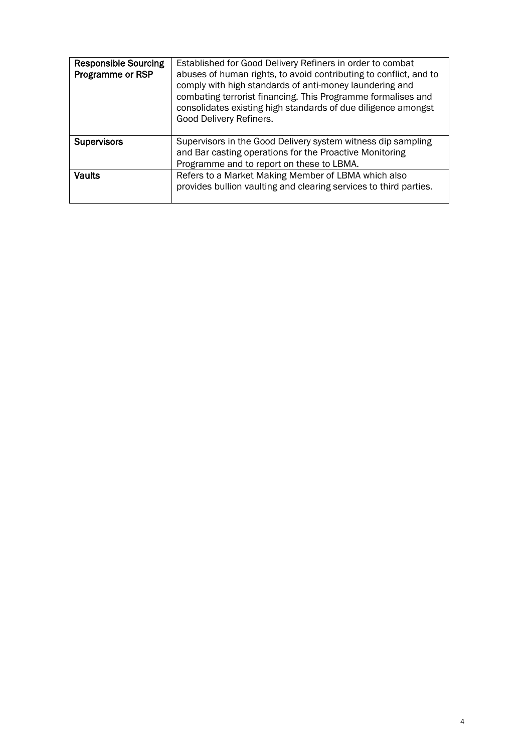| <b>Responsible Sourcing</b><br>Programme or RSP | Established for Good Delivery Refiners in order to combat<br>abuses of human rights, to avoid contributing to conflict, and to<br>comply with high standards of anti-money laundering and<br>combating terrorist financing. This Programme formalises and<br>consolidates existing high standards of due diligence amongst<br>Good Delivery Refiners. |
|-------------------------------------------------|-------------------------------------------------------------------------------------------------------------------------------------------------------------------------------------------------------------------------------------------------------------------------------------------------------------------------------------------------------|
| <b>Supervisors</b>                              | Supervisors in the Good Delivery system witness dip sampling<br>and Bar casting operations for the Proactive Monitoring<br>Programme and to report on these to LBMA.                                                                                                                                                                                  |
| <b>Vaults</b>                                   | Refers to a Market Making Member of LBMA which also<br>provides bullion vaulting and clearing services to third parties.                                                                                                                                                                                                                              |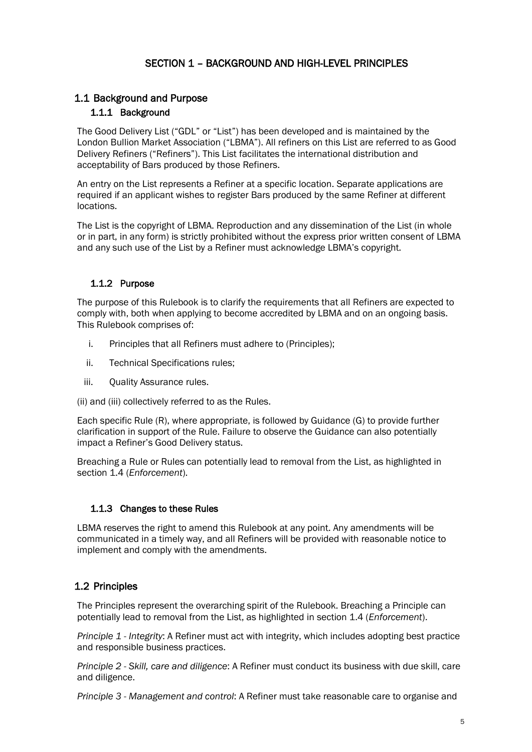## SECTION 1 – BACKGROUND AND HIGH-LEVEL PRINCIPLES

## <span id="page-4-0"></span>1.1 Background and Purpose

#### 1.1.1 Background

The Good Delivery List ("GDL" or "List") has been developed and is maintained by the London Bullion Market Association ("LBMA"). All refiners on this List are referred to as Good Delivery Refiners ("Refiners"). This List facilitates the international distribution and acceptability of Bars produced by those Refiners.

An entry on the List represents a Refiner at a specific location. Separate applications are required if an applicant wishes to register Bars produced by the same Refiner at different locations.

The List is the copyright of LBMA. Reproduction and any dissemination of the List (in whole or in part, in any form) is strictly prohibited without the express prior written consent of LBMA and any such use of the List by a Refiner must acknowledge LBMA's copyright.

#### 1.1.2 Purpose

The purpose of this Rulebook is to clarify the requirements that all Refiners are expected to comply with, both when applying to become accredited by LBMA and on an ongoing basis. This Rulebook comprises of:

- i. Principles that all Refiners must adhere to (Principles);
- ii. Technical Specifications rules;
- iii. Quality Assurance rules.

(ii) and (iii) collectively referred to as the Rules.

Each specific Rule (R), where appropriate, is followed by Guidance (G) to provide further clarification in support of the Rule. Failure to observe the Guidance can also potentially impact a Refiner's Good Delivery status.

Breaching a Rule or Rules can potentially lead to removal from the List, as highlighted in section 1.4 (*Enforcement*).

#### 1.1.3 Changes to these Rules

LBMA reserves the right to amend this Rulebook at any point. Any amendments will be communicated in a timely way, and all Refiners will be provided with reasonable notice to implement and comply with the amendments.

## 1.2 Principles

The Principles represent the overarching spirit of the Rulebook. Breaching a Principle can potentially lead to removal from the List, as highlighted in section 1.4 (*Enforcement*).

*Principle 1 - Integrity*: A Refiner must act with integrity, which includes adopting best practice and responsible business practices.

*Principle 2 - Skill, care and diligence*: A Refiner must conduct its business with due skill, care and diligence.

*Principle 3 - Management and control*: A Refiner must take reasonable care to organise and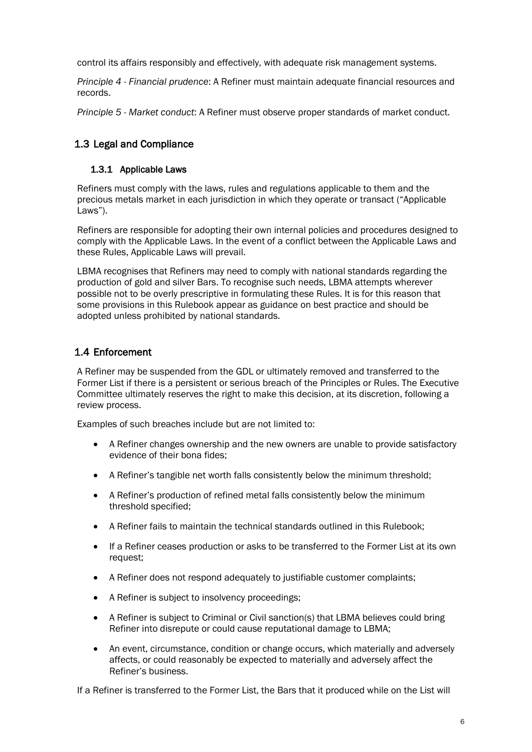control its affairs responsibly and effectively, with adequate risk management systems.

*Principle 4 - Financial prudence*: A Refiner must maintain adequate financial resources and records.

*Principle 5 - Market conduct*: A Refiner must observe proper standards of market conduct.

## 1.3 Legal and Compliance

#### 1.3.1 Applicable Laws

Refiners must comply with the laws, rules and regulations applicable to them and the precious metals market in each jurisdiction in which they operate or transact ("Applicable Laws").

Refiners are responsible for adopting their own internal policies and procedures designed to comply with the Applicable Laws. In the event of a conflict between the Applicable Laws and these Rules, Applicable Laws will prevail.

LBMA recognises that Refiners may need to comply with national standards regarding the production of gold and silver Bars. To recognise such needs, LBMA attempts wherever possible not to be overly prescriptive in formulating these Rules. It is for this reason that some provisions in this Rulebook appear as guidance on best practice and should be adopted unless prohibited by national standards.

## 1.4 Enforcement

A Refiner may be suspended from the GDL or ultimately removed and transferred to the Former List if there is a persistent or serious breach of the Principles or Rules. The Executive Committee ultimately reserves the right to make this decision, at its discretion, following a review process.

Examples of such breaches include but are not limited to:

- A Refiner changes ownership and the new owners are unable to provide satisfactory evidence of their bona fides;
- A Refiner's tangible net worth falls consistently below the minimum threshold;
- A Refiner's production of refined metal falls consistently below the minimum threshold specified;
- A Refiner fails to maintain the technical standards outlined in this Rulebook;
- If a Refiner ceases production or asks to be transferred to the Former List at its own request;
- A Refiner does not respond adequately to justifiable customer complaints;
- A Refiner is subject to insolvency proceedings;
- A Refiner is subject to Criminal or Civil sanction(s) that LBMA believes could bring Refiner into disrepute or could cause reputational damage to LBMA;
- An event, circumstance, condition or change occurs, which materially and adversely affects, or could reasonably be expected to materially and adversely affect the Refiner's business.

If a Refiner is transferred to the Former List, the Bars that it produced while on the List will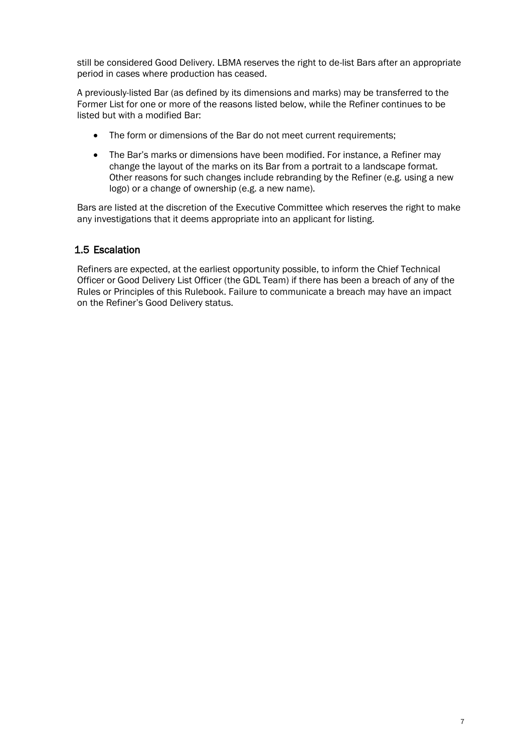still be considered Good Delivery. LBMA reserves the right to de-list Bars after an appropriate period in cases where production has ceased.

A previously-listed Bar (as defined by its dimensions and marks) may be transferred to the Former List for one or more of the reasons listed below, while the Refiner continues to be listed but with a modified Bar:

- The form or dimensions of the Bar do not meet current requirements;
- The Bar's marks or dimensions have been modified. For instance, a Refiner may change the layout of the marks on its Bar from a portrait to a landscape format. Other reasons for such changes include rebranding by the Refiner (e.g. using a new logo) or a change of ownership (e.g. a new name).

Bars are listed at the discretion of the Executive Committee which reserves the right to make any investigations that it deems appropriate into an applicant for listing.

#### 1.5 Escalation

Refiners are expected, at the earliest opportunity possible, to inform the Chief Technical Officer or Good Delivery List Officer (the GDL Team) if there has been a breach of any of the Rules or Principles of this Rulebook. Failure to communicate a breach may have an impact on the Refiner's Good Delivery status.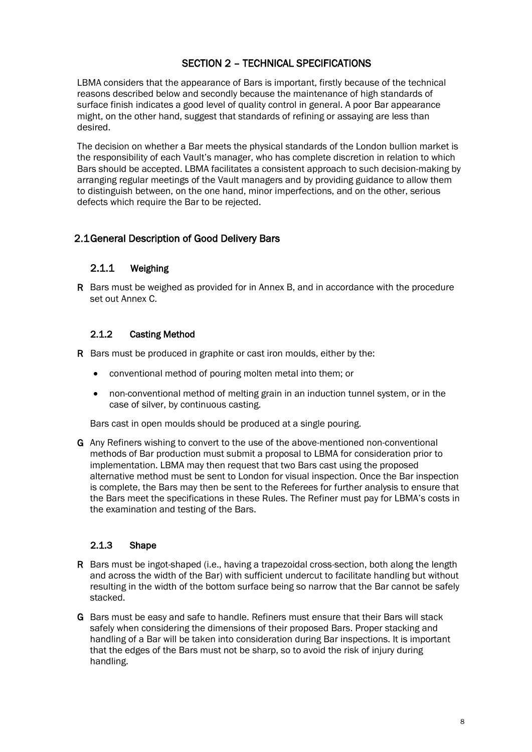## SECTION 2 – TECHNICAL SPECIFICATIONS

<span id="page-7-0"></span>LBMA considers that the appearance of Bars is important, firstly because of the technical reasons described below and secondly because the maintenance of high standards of surface finish indicates a good level of quality control in general. A poor Bar appearance might, on the other hand, suggest that standards of refining or assaying are less than desired.

The decision on whether a Bar meets the physical standards of the London bullion market is the responsibility of each Vault's manager, who has complete discretion in relation to which Bars should be accepted. LBMA facilitates a consistent approach to such decision-making by arranging regular meetings of the Vault managers and by providing guidance to allow them to distinguish between, on the one hand, minor imperfections, and on the other, serious defects which require the Bar to be rejected.

## 2.1General Description of Good Delivery Bars

#### 2.1.1 Weighing

R Bars must be weighed as provided for in Annex B, and in accordance with the procedure set out Annex C.

## 2.1.2 Casting Method

R Bars must be produced in graphite or cast iron moulds, either by the:

- conventional method of pouring molten metal into them; or
- non-conventional method of melting grain in an induction tunnel system, or in the case of silver, by continuous casting.

Bars cast in open moulds should be produced at a single pouring.

G Any Refiners wishing to convert to the use of the above-mentioned non-conventional methods of Bar production must submit a proposal to LBMA for consideration prior to implementation. LBMA may then request that two Bars cast using the proposed alternative method must be sent to London for visual inspection. Once the Bar inspection is complete, the Bars may then be sent to the Referees for further analysis to ensure that the Bars meet the specifications in these Rules. The Refiner must pay for LBMA's costs in the examination and testing of the Bars.

## 2.1.3 Shape

- R Bars must be ingot-shaped (i.e., having a trapezoidal cross-section, both along the length and across the width of the Bar) with sufficient undercut to facilitate handling but without resulting in the width of the bottom surface being so narrow that the Bar cannot be safely stacked.
- G Bars must be easy and safe to handle. Refiners must ensure that their Bars will stack safely when considering the dimensions of their proposed Bars. Proper stacking and handling of a Bar will be taken into consideration during Bar inspections. It is important that the edges of the Bars must not be sharp, so to avoid the risk of injury during handling.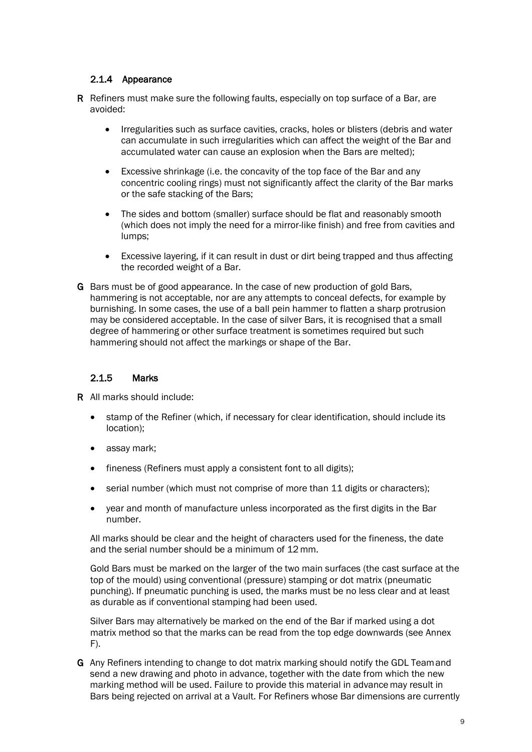## 2.1.4 Appearance

- R Refiners must make sure the following faults, especially on top surface of a Bar, are avoided:
	- Irregularities such as surface cavities, cracks, holes or blisters (debris and water can accumulate in such irregularities which can affect the weight of the Bar and accumulated water can cause an explosion when the Bars are melted);
	- Excessive shrinkage (i.e. the concavity of the top face of the Bar and any concentric cooling rings) must not significantly affect the clarity of the Bar marks or the safe stacking of the Bars;
	- The sides and bottom (smaller) surface should be flat and reasonably smooth (which does not imply the need for a mirror-like finish) and free from cavities and lumps;
	- Excessive layering, if it can result in dust or dirt being trapped and thus affecting the recorded weight of a Bar.
- G Bars must be of good appearance. In the case of new production of gold Bars, hammering is not acceptable, nor are any attempts to conceal defects, for example by burnishing. In some cases, the use of a ball pein hammer to flatten a sharp protrusion may be considered acceptable. In the case of silver Bars, it is recognised that a small degree of hammering or other surface treatment is sometimes required but such hammering should not affect the markings or shape of the Bar.

#### 2.1.5 Marks

R All marks should include:

- stamp of the Refiner (which, if necessary for clear identification, should include its location);
- assay mark;
- fineness (Refiners must apply a consistent font to all digits);
- serial number (which must not comprise of more than 11 digits or characters);
- year and month of manufacture unless incorporated as the first digits in the Bar number.

All marks should be clear and the height of characters used for the fineness, the date and the serial number should be a minimum of 12 mm.

Gold Bars must be marked on the larger of the two main surfaces (the cast surface at the top of the mould) using conventional (pressure) stamping or dot matrix (pneumatic punching). If pneumatic punching is used, the marks must be no less clear and at least as durable as if conventional stamping had been used.

Silver Bars may alternatively be marked on the end of the Bar if marked using a dot matrix method so that the marks can be read from the top edge downwards (see Annex  $F$ ).

G Any Refiners intending to change to dot matrix marking should notify the GDL Teamand send a new drawing and photo in advance, together with the date from which the new marking method will be used. Failure to provide this material in advance may result in Bars being rejected on arrival at a Vault. For Refiners whose Bar dimensions are currently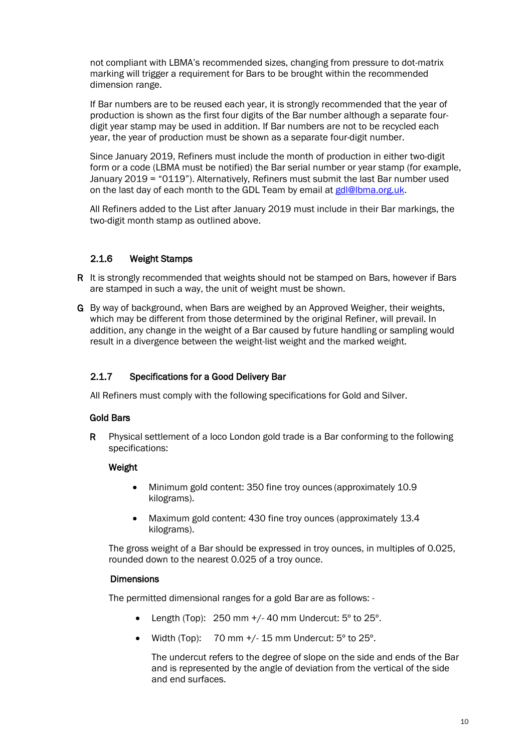not compliant with LBMA's recommended sizes, changing from pressure to dot-matrix marking will trigger a requirement for Bars to be brought within the recommended dimension range.

If Bar numbers are to be reused each year, it is strongly recommended that the year of production is shown as the first four digits of the Bar number although a separate fourdigit year stamp may be used in addition. If Bar numbers are not to be recycled each year, the year of production must be shown as a separate four-digit number.

Since January 2019, Refiners must include the month of production in either two-digit form or a code (LBMA must be notified) the Bar serial number or year stamp (for example, January 2019 = "0119"). Alternatively, Refiners must submit the last Bar number used on the last day of each month to the GDL Team by email a[t gdl@lbma.org.uk.](mailto:gdl@lbma.org.uk)

All Refiners added to the List after January 2019 must include in their Bar markings, the two-digit month stamp as outlined above.

## 2.1.6 Weight Stamps

R It is strongly recommended that weights should not be stamped on Bars, however if Bars are stamped in such a way, the unit of weight must be shown.

G By way of background, when Bars are weighed by an Approved Weigher, their weights, which may be different from those determined by the original Refiner, will prevail. In addition, any change in the weight of a Bar caused by future handling or sampling would result in a divergence between the weight-list weight and the marked weight.

### 2.1.7 Specifications for a Good Delivery Bar

All Refiners must comply with the following specifications for Gold and Silver.

#### Gold Bars

R Physical settlement of a loco London gold trade is a Bar conforming to the following specifications:

#### Weight

- Minimum gold content: 350 fine troy ounces (approximately 10.9 kilograms).
- Maximum gold content: 430 fine troy ounces (approximately 13.4) kilograms).

The gross weight of a Bar should be expressed in troy ounces, in multiples of 0.025, rounded down to the nearest 0.025 of a troy ounce.

#### **Dimensions**

The permitted dimensional ranges for a gold Bar are as follows: -

- Length (Top):  $250 \text{ mm} +/- 40 \text{ mm}$  Undercut:  $5^{\circ}$  to  $25^{\circ}$ .
- Width (Top): 70 mm  $+/$ -15 mm Undercut:  $5^{\circ}$  to 25 $^{\circ}$ .

The undercut refers to the degree of slope on the side and ends of the Bar and is represented by the angle of deviation from the vertical of the side and end surfaces.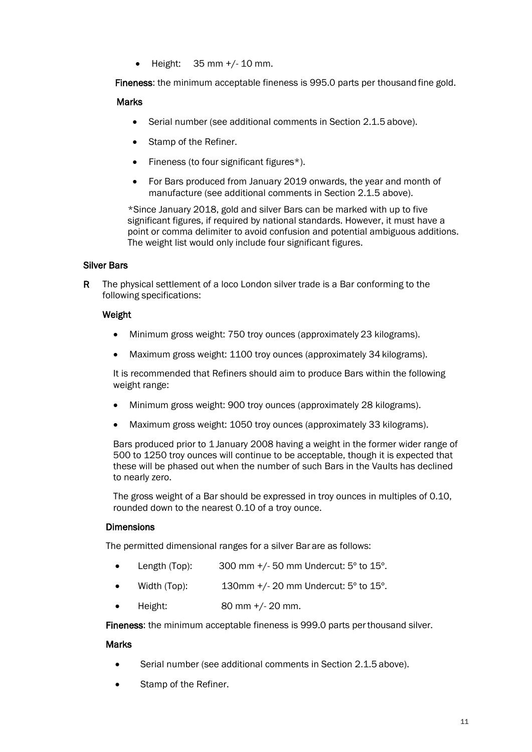$\bullet$  Height: 35 mm  $+/$ -10 mm.

Fineness: the minimum acceptable fineness is 995.0 parts per thousand fine gold.

#### **Marks**

- Serial number (see additional comments in Section 2.1.5 above).
- Stamp of the Refiner.
- Fineness (to four significant figures\*).
- For Bars produced from January 2019 onwards, the year and month of manufacture (see additional comments in Section 2.1.5 above).

\*Since January 2018, gold and silver Bars can be marked with up to five significant figures, if required by national standards. However, it must have a point or comma delimiter to avoid confusion and potential ambiguous additions. The weight list would only include four significant figures.

#### Silver Bars

R The physical settlement of a loco London silver trade is a Bar conforming to the following specifications:

#### Weight

- Minimum gross weight: 750 troy ounces (approximately 23 kilograms).
- Maximum gross weight: 1100 troy ounces (approximately 34 kilograms).

It is recommended that Refiners should aim to produce Bars within the following weight range:

- Minimum gross weight: 900 troy ounces (approximately 28 kilograms).
- Maximum gross weight: 1050 troy ounces (approximately 33 kilograms).

Bars produced prior to 1 January 2008 having a weight in the former wider range of 500 to 1250 troy ounces will continue to be acceptable, though it is expected that these will be phased out when the number of such Bars in the Vaults has declined to nearly zero.

The gross weight of a Bar should be expressed in troy ounces in multiples of 0.10, rounded down to the nearest 0.10 of a troy ounce.

#### **Dimensions**

The permitted dimensional ranges for a silver Bar are as follows:

- Length (Top):  $300 \text{ mm} +/-50 \text{ mm}$  Undercut:  $5^{\circ}$  to  $15^{\circ}$ .
- Width (Top): 130mm +/- 20 mm Undercut: 5º to 15º.
- Height: 80 mm +/- 20 mm.

Fineness: the minimum acceptable fineness is 999.0 parts perthousand silver.

#### **Marks**

- Serial number (see additional comments in Section 2.1.5 above).
- Stamp of the Refiner.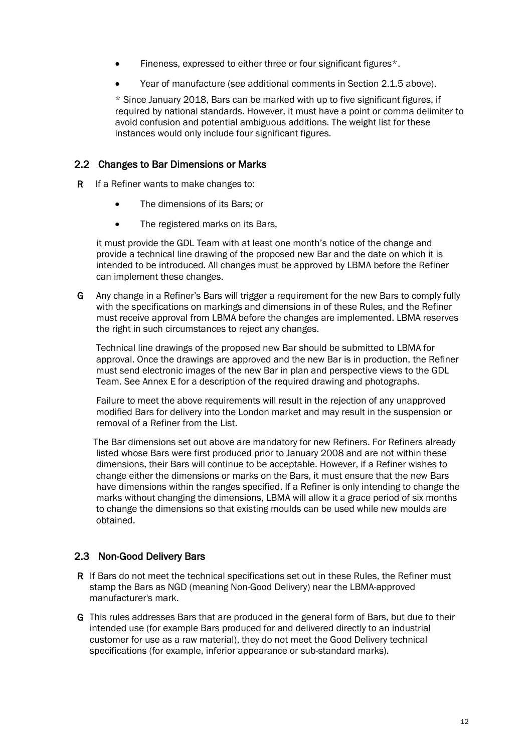- Fineness, expressed to either three or four significant figures\*.
- Year of manufacture (see additional comments in Section 2.1.5 above).

\* Since January 2018, Bars can be marked with up to five significant figures, if required by national standards. However, it must have a point or comma delimiter to avoid confusion and potential ambiguous additions. The weight list for these instances would only include four significant figures.

#### 2.2 Changes to Bar Dimensions or Marks

R If a Refiner wants to make changes to:

- The dimensions of its Bars; or
- The registered marks on its Bars,

it must provide the GDL Team with at least one month's notice of the change and provide a technical line drawing of the proposed new Bar and the date on which it is intended to be introduced. All changes must be approved by LBMA before the Refiner can implement these changes.

G Any change in a Refiner's Bars will trigger a requirement for the new Bars to comply fully with the specifications on markings and dimensions in of these Rules, and the Refiner must receive approval from LBMA before the changes are implemented. LBMA reserves the right in such circumstances to reject any changes.

Technical line drawings of the proposed new Bar should be submitted to LBMA for approval. Once the drawings are approved and the new Bar is in production, the Refiner must send electronic images of the new Bar in plan and perspective views to the GDL Team. See Annex E for a description of the required drawing and photographs.

Failure to meet the above requirements will result in the rejection of any unapproved modified Bars for delivery into the London market and may result in the suspension or removal of a Refiner from the List.

The Bar dimensions set out above are mandatory for new Refiners. For Refiners already listed whose Bars were first produced prior to January 2008 and are not within these dimensions, their Bars will continue to be acceptable. However, if a Refiner wishes to change either the dimensions or marks on the Bars, it must ensure that the new Bars have dimensions within the ranges specified. If a Refiner is only intending to change the marks without changing the dimensions, LBMA will allow it a grace period of six months to change the dimensions so that existing moulds can be used while new moulds are obtained.

## 2.3 Non-Good Delivery Bars

- R If Bars do not meet the technical specifications set out in these Rules, the Refiner must stamp the Bars as NGD (meaning Non-Good Delivery) near the LBMA-approved manufacturer's mark.
- G This rules addresses Bars that are produced in the general form of Bars, but due to their intended use (for example Bars produced for and delivered directly to an industrial customer for use as a raw material), they do not meet the Good Delivery technical specifications (for example, inferior appearance or sub-standard marks).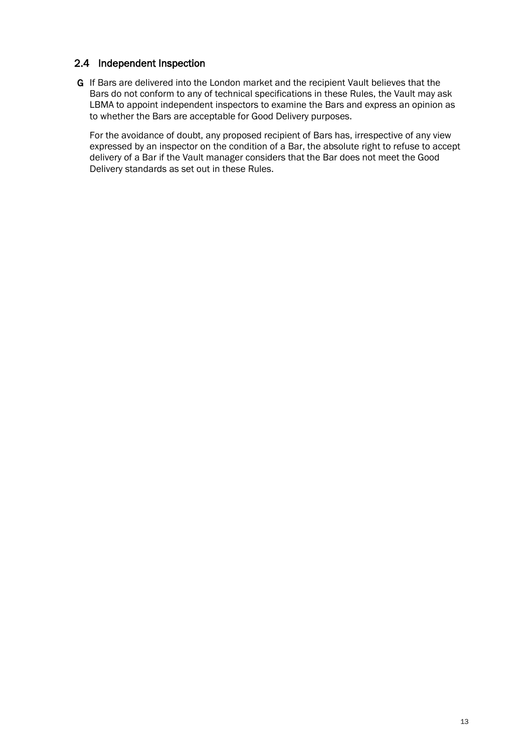## 2.4 Independent Inspection

G If Bars are delivered into the London market and the recipient Vault believes that the Bars do not conform to any of technical specifications in these Rules, the Vault may ask LBMA to appoint independent inspectors to examine the Bars and express an opinion as to whether the Bars are acceptable for Good Delivery purposes.

For the avoidance of doubt, any proposed recipient of Bars has, irrespective of any view expressed by an inspector on the condition of a Bar, the absolute right to refuse to accept delivery of a Bar if the Vault manager considers that the Bar does not meet the Good Delivery standards as set out in these Rules.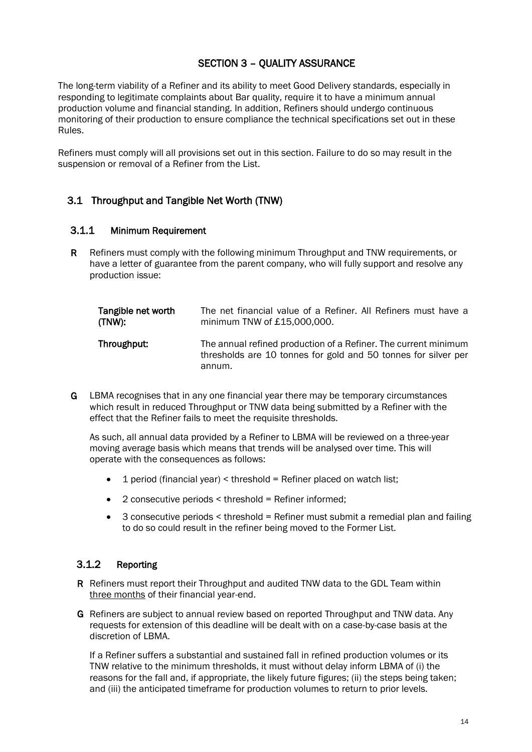## SECTION 3 – QUALITY ASSURANCE

<span id="page-13-0"></span>The long-term viability of a Refiner and its ability to meet Good Delivery standards, especially in responding to legitimate complaints about Bar quality, require it to have a minimum annual production volume and financial standing. In addition, Refiners should undergo continuous monitoring of their production to ensure compliance the technical specifications set out in these Rules.

Refiners must comply will all provisions set out in this section. Failure to do so may result in the suspension or removal of a Refiner from the List.

## 3.1 Throughput and Tangible Net Worth (TNW)

#### 3.1.1 Minimum Requirement

R Refiners must comply with the following minimum Throughput and TNW requirements, or have a letter of guarantee from the parent company, who will fully support and resolve any production issue:

| Tangible net worth | The net financial value of a Refiner. All Refiners must have a                                                                              |
|--------------------|---------------------------------------------------------------------------------------------------------------------------------------------|
| (TNW):             | minimum TNW of £15,000,000.                                                                                                                 |
| Throughput:        | The annual refined production of a Refiner. The current minimum<br>thresholds are 10 tonnes for gold and 50 tonnes for silver per<br>annum. |

G LBMA recognises that in any one financial year there may be temporary circumstances which result in reduced Throughput or TNW data being submitted by a Refiner with the effect that the Refiner fails to meet the requisite thresholds.

As such, all annual data provided by a Refiner to LBMA will be reviewed on a three-year moving average basis which means that trends will be analysed over time. This will operate with the consequences as follows:

- $\bullet$  1 period (financial year) < threshold = Refiner placed on watch list;
- 2 consecutive periods < threshold = Refiner informed;
- 3 consecutive periods < threshold = Refiner must submit a remedial plan and failing to do so could result in the refiner being moved to the Former List.

## 3.1.2 Reporting

- R Refiners must report their Throughput and audited TNW data to the GDL Team within three months of their financial year-end.
- G Refiners are subject to annual review based on reported Throughput and TNW data. Any requests for extension of this deadline will be dealt with on a case-by-case basis at the discretion of LBMA.

If a Refiner suffers a substantial and sustained fall in refined production volumes or its TNW relative to the minimum thresholds, it must without delay inform LBMA of (i) the reasons for the fall and, if appropriate, the likely future figures; (ii) the steps being taken; and (iii) the anticipated timeframe for production volumes to return to prior levels.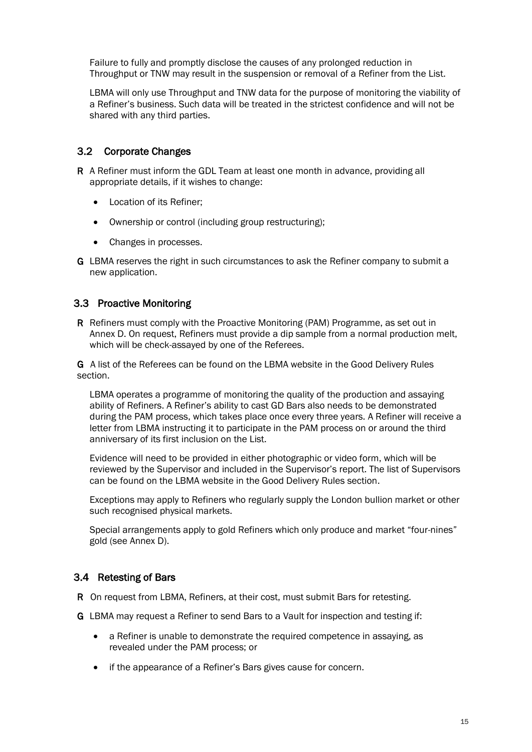Failure to fully and promptly disclose the causes of any prolonged reduction in Throughput or TNW may result in the suspension or removal of a Refiner from the List.

LBMA will only use Throughput and TNW data for the purpose of monitoring the viability of a Refiner's business. Such data will be treated in the strictest confidence and will not be shared with any third parties.

## 3.2 Corporate Changes

- R A Refiner must inform the GDL Team at least one month in advance, providing all appropriate details, if it wishes to change:
	- Location of its Refiner;
	- Ownership or control (including group restructuring);
	- Changes in processes.
- G LBMA reserves the right in such circumstances to ask the Refiner company to submit a new application.

#### 3.3 Proactive Monitoring

R Refiners must comply with the Proactive Monitoring (PAM) Programme, as set out in Annex D. On request, Refiners must provide a dip sample from a normal production melt, which will be check-assayed by one of the Referees.

G A list of the Referees can be found on the LBMA website in the Good Delivery Rules section.

LBMA operates a programme of monitoring the quality of the production and assaying ability of Refiners. A Refiner's ability to cast GD Bars also needs to be demonstrated during the PAM process, which takes place once every three years. A Refiner will receive a letter from LBMA instructing it to participate in the PAM process on or around the third anniversary of its first inclusion on the List.

Evidence will need to be provided in either photographic or video form, which will be reviewed by the Supervisor and included in the Supervisor's report. The list of Supervisors can be found on the LBMA website in the Good Delivery Rules section.

Exceptions may apply to Refiners who regularly supply the London bullion market or other such recognised physical markets.

Special arrangements apply to gold Refiners which only produce and market "four-nines" gold (see Annex D).

## 3.4 Retesting of Bars

R On request from LBMA, Refiners, at their cost, must submit Bars for retesting.

- G LBMA may request a Refiner to send Bars to a Vault for inspection and testing if:
	- a Refiner is unable to demonstrate the required competence in assaying, as revealed under the PAM process; or
	- if the appearance of a Refiner's Bars gives cause for concern.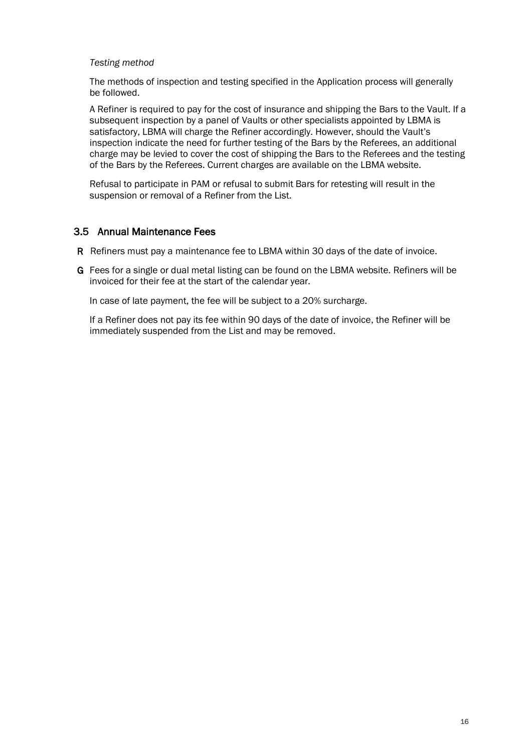#### *Testing method*

The methods of inspection and testing specified in the Application process will generally be followed.

 A Refiner is required to pay for the cost of insurance and shipping the Bars to the Vault. If a subsequent inspection by a panel of Vaults or other specialists appointed by LBMA is satisfactory, LBMA will charge the Refiner accordingly. However, should the Vault's inspection indicate the need for further testing of the Bars by the Referees, an additional charge may be levied to cover the cost of shipping the Bars to the Referees and the testing of the Bars by the Referees. Current charges are available on the LBMA website.

Refusal to participate in PAM or refusal to submit Bars for retesting will result in the suspension or removal of a Refiner from the List.

#### 3.5 Annual Maintenance Fees

- R Refiners must pay a maintenance fee to LBMA within 30 days of the date of invoice.
- G Fees for a single or dual metal listing can be found on the LBMA website. Refiners will be invoiced for their fee at the start of the calendar year.

In case of late payment, the fee will be subject to a 20% surcharge.

If a Refiner does not pay its fee within 90 days of the date of invoice, the Refiner will be immediately suspended from the List and may be removed.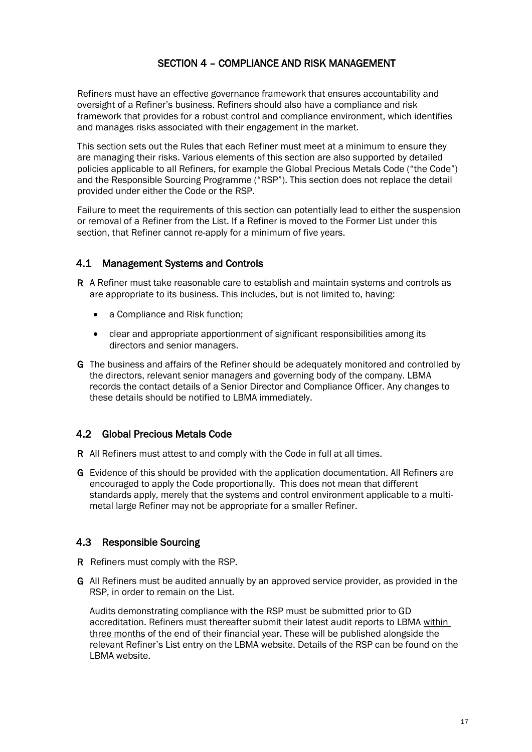## SECTION 4 – COMPLIANCE AND RISK MANAGEMENT

<span id="page-16-0"></span>Refiners must have an effective governance framework that ensures accountability and oversight of a Refiner's business. Refiners should also have a compliance and risk framework that provides for a robust control and compliance environment, which identifies and manages risks associated with their engagement in the market.

This section sets out the Rules that each Refiner must meet at a minimum to ensure they are managing their risks. Various elements of this section are also supported by detailed policies applicable to all Refiners, for example the Global Precious Metals Code ("the Code") and the Responsible Sourcing Programme ("RSP"). This section does not replace the detail provided under either the Code or the RSP.

Failure to meet the requirements of this section can potentially lead to either the suspension or removal of a Refiner from the List. If a Refiner is moved to the Former List under this section, that Refiner cannot re-apply for a minimum of five years.

#### 4.1 Management Systems and Controls

- R A Refiner must take reasonable care to establish and maintain systems and controls as are appropriate to its business. This includes, but is not limited to, having:
	- a Compliance and Risk function;
	- clear and appropriate apportionment of significant responsibilities among its directors and senior managers.
- G The business and affairs of the Refiner should be adequately monitored and controlled by the directors, relevant senior managers and governing body of the company. LBMA records the contact details of a Senior Director and Compliance Officer. Any changes to these details should be notified to LBMA immediately.

#### 4.2 Global Precious Metals Code

- R All Refiners must attest to and comply with the Code in full at all times.
- G Evidence of this should be provided with the application documentation. All Refiners are encouraged to apply the Code proportionally. This does not mean that different standards apply, merely that the systems and control environment applicable to a multimetal large Refiner may not be appropriate for a smaller Refiner.

## 4.3 Responsible Sourcing

- R Refiners must comply with the RSP.
- G All Refiners must be audited annually by an approved service provider, as provided in the RSP, in order to remain on the List.

Audits demonstrating compliance with the RSP must be submitted prior to GD accreditation. Refiners must thereafter submit their latest audit reports to LBMA within three months of the end of their financial year. These will be published alongside the relevant Refiner's List entry on the LBMA website. Details of the RSP can be found on the LBMA website.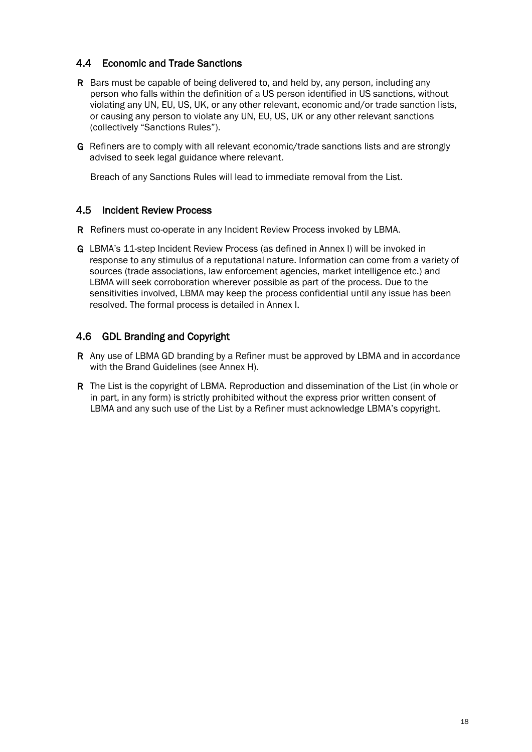## 4.4 Economic and Trade Sanctions

- R Bars must be capable of being delivered to, and held by, any person, including any person who falls within the definition of a US person identified in US sanctions, without violating any UN, EU, US, UK, or any other relevant, economic and/or trade sanction lists, or causing any person to violate any UN, EU, US, UK or any other relevant sanctions (collectively "Sanctions Rules").
- G Refiners are to comply with all relevant economic/trade sanctions lists and are strongly advised to seek legal guidance where relevant.

Breach of any Sanctions Rules will lead to immediate removal from the List.

#### 4.5 Incident Review Process

R Refiners must co-operate in any Incident Review Process invoked by LBMA.

G LBMA's 11-step Incident Review Process (as defined in Annex I) will be invoked in response to any stimulus of a reputational nature. Information can come from a variety of sources (trade associations, law enforcement agencies, market intelligence etc.) and LBMA will seek corroboration wherever possible as part of the process. Due to the sensitivities involved, LBMA may keep the process confidential until any issue has been resolved. The formal process is detailed in Annex I.

## 4.6 GDL Branding and Copyright

- R Any use of LBMA GD branding by a Refiner must be approved by LBMA and in accordance with the Brand Guidelines (see Annex H).
- R The List is the copyright of LBMA. Reproduction and dissemination of the List (in whole or in part, in any form) is strictly prohibited without the express prior written consent of LBMA and any such use of the List by a Refiner must acknowledge LBMA's copyright.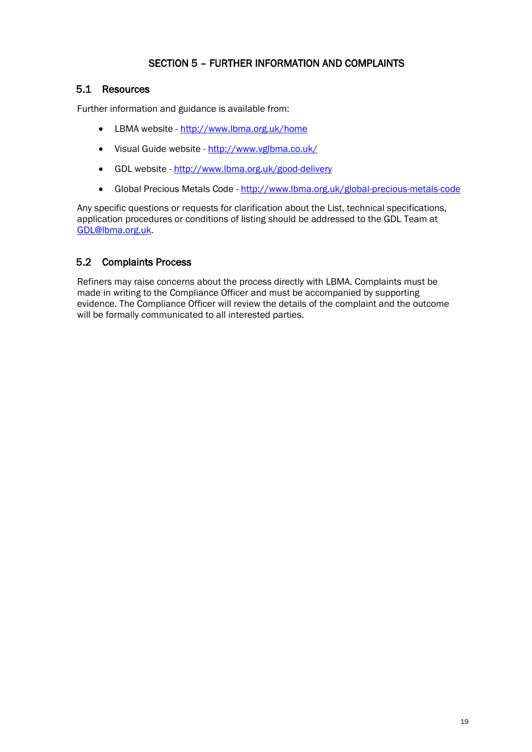## SECTION 5 – FURTHER INFORMATION AND COMPLAINTS

## <span id="page-18-0"></span>5.1 Resources

Further information and guidance is available from:

- LBMA website <http://www.lbma.org.uk/home>
- Visual Guide website <http://www.vglbma.co.uk/>
- GDL website <http://www.lbma.org.uk/good-delivery>
- Global Precious Metals Code <http://www.lbma.org.uk/global-precious-metals-code>

Any specific questions or requests for clarification about the List, technical specifications, application procedures or conditions of listing should be addressed to the GDL Team at [GDL@lbma.org.uk.](mailto:GDL@lbma.org.uk)

## 5.2 Complaints Process

Refiners may raise concerns about the process directly with LBMA. Complaints must be made in writing to the Compliance Officer and must be accompanied by supporting evidence. The Compliance Officer will review the details of the complaint and the outcome will be formally communicated to all interested parties.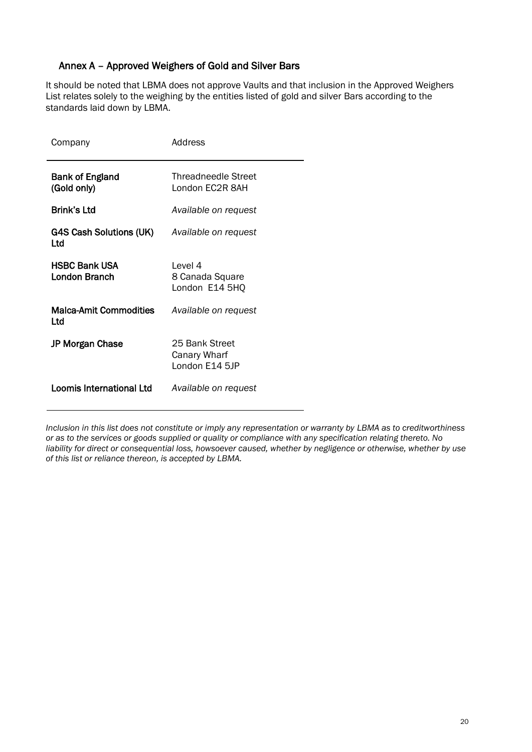## Annex A – Approved Weighers of Gold and Silver Bars

<span id="page-19-0"></span>It should be noted that LBMA does not approve Vaults and that inclusion in the Approved Weighers List relates solely to the weighing by the entities listed of gold and silver Bars according to the standards laid down by LBMA.

| Company                                      | Address                                          |
|----------------------------------------------|--------------------------------------------------|
| Bank of England<br>(Gold only)               | Threadneedle Street<br>London EC2R 8AH           |
| <b>Brink's Ltd</b>                           | Available on request                             |
| G4S Cash Solutions (UK)<br>Ltd               | Available on request                             |
| <b>HSBC Bank USA</b><br><b>London Branch</b> | Level 4<br>8 Canada Square<br>London E14 5HQ     |
| <b>Malca-Amit Commodities</b><br>Ltd         | Available on request                             |
| <b>JP Morgan Chase</b>                       | 25 Bank Street<br>Canary Wharf<br>London E14 5JP |
| Loomis International Ltd                     | Available on request                             |

*Inclusion in this list does not constitute or imply any representation or warranty by LBMA as to creditworthiness or as to the services or goods supplied or quality or compliance with any specification relating thereto. No liability for direct or consequential loss, howsoever caused, whether by negligence or otherwise, whether by use of this list or reliance thereon, is accepted by LBMA.*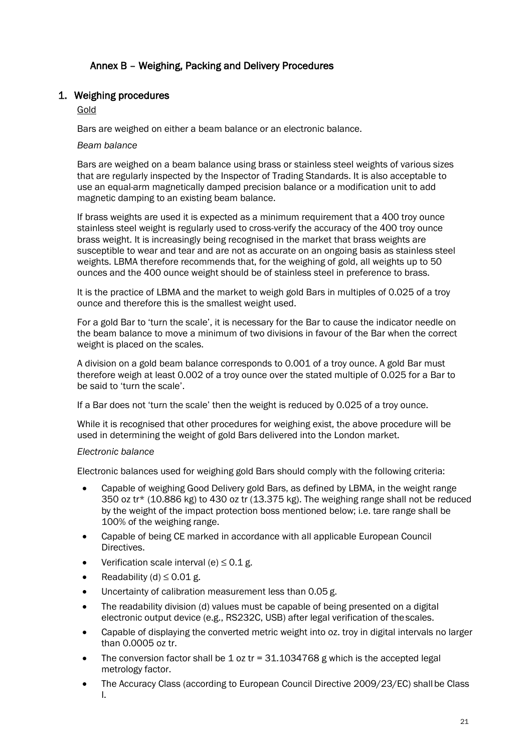## Annex B – Weighing, Packing and Delivery Procedures

#### <span id="page-20-0"></span>1. Weighing procedures

#### Gold

Bars are weighed on either a beam balance or an electronic balance.

#### *Beam balance*

Bars are weighed on a beam balance using brass or stainless steel weights of various sizes that are regularly inspected by the Inspector of Trading Standards. It is also acceptable to use an equal-arm magnetically damped precision balance or a modification unit to add magnetic damping to an existing beam balance.

If brass weights are used it is expected as a minimum requirement that a 400 troy ounce stainless steel weight is regularly used to cross-verify the accuracy of the 400 troy ounce brass weight. It is increasingly being recognised in the market that brass weights are susceptible to wear and tear and are not as accurate on an ongoing basis as stainless steel weights. LBMA therefore recommends that, for the weighing of gold, all weights up to 50 ounces and the 400 ounce weight should be of stainless steel in preference to brass.

It is the practice of LBMA and the market to weigh gold Bars in multiples of 0.025 of a troy ounce and therefore this is the smallest weight used.

For a gold Bar to 'turn the scale', it is necessary for the Bar to cause the indicator needle on the beam balance to move a minimum of two divisions in favour of the Bar when the correct weight is placed on the scales.

A division on a gold beam balance corresponds to 0.001 of a troy ounce. A gold Bar must therefore weigh at least 0.002 of a troy ounce over the stated multiple of 0.025 for a Bar to be said to 'turn the scale'.

If a Bar does not 'turn the scale' then the weight is reduced by 0.025 of a troy ounce.

While it is recognised that other procedures for weighing exist, the above procedure will be used in determining the weight of gold Bars delivered into the London market.

#### *Electronic balance*

Electronic balances used for weighing gold Bars should comply with the following criteria:

- Capable of weighing Good Delivery gold Bars, as defined by LBMA, in the weight range 350 oz tr\* (10.886 kg) to 430 oz tr (13.375 kg). The weighing range shall not be reduced by the weight of the impact protection boss mentioned below; i.e. tare range shall be 100% of the weighing range.
- Capable of being CE marked in accordance with all applicable European Council Directives.
- Verification scale interval (e)  $\leq$  0.1 g.
- Readability (d)  $\leq$  0.01 g.
- Uncertainty of calibration measurement less than 0.05 g.
- The readability division (d) values must be capable of being presented on a digital electronic output device (e.g., RS232C, USB) after legal verification of thescales.
- Capable of displaying the converted metric weight into oz. troy in digital intervals no larger than 0.0005 oz tr.
- The conversion factor shall be 1 oz tr =  $31.1034768$  g which is the accepted legal metrology factor.
- The Accuracy Class (according to European Council Directive 2009/23/EC) shallbe Class I.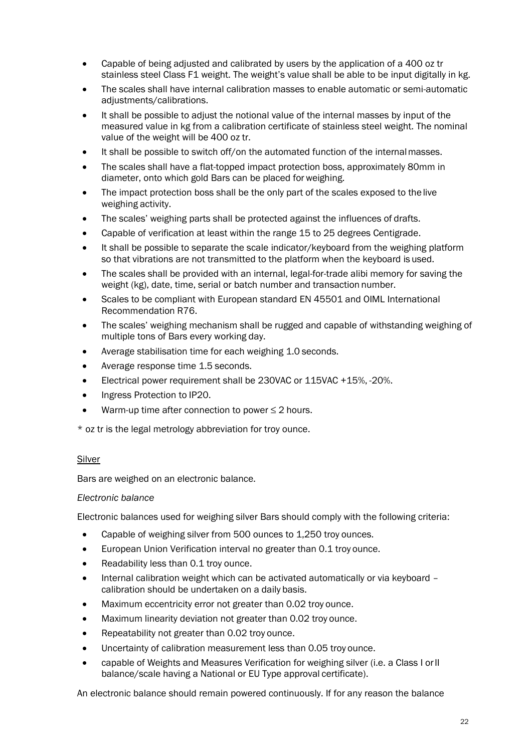- Capable of being adjusted and calibrated by users by the application of a 400 oz tr stainless steel Class F1 weight. The weight's value shall be able to be input digitally in kg.
- The scales shall have internal calibration masses to enable automatic or semi-automatic adjustments/calibrations.
- It shall be possible to adjust the notional value of the internal masses by input of the measured value in kg from a calibration certificate of stainless steel weight. The nominal value of the weight will be 400 oz tr.
- It shall be possible to switch off/on the automated function of the internal masses.
- The scales shall have a flat-topped impact protection boss, approximately 80mm in diameter, onto which gold Bars can be placed forweighing.
- The impact protection boss shall be the only part of the scales exposed to the live weighing activity.
- The scales' weighing parts shall be protected against the influences of drafts.
- Capable of verification at least within the range 15 to 25 degrees Centigrade.
- It shall be possible to separate the scale indicator/keyboard from the weighing platform so that vibrations are not transmitted to the platform when the keyboard is used.
- The scales shall be provided with an internal, legal-for-trade alibi memory for saving the weight (kg), date, time, serial or batch number and transaction number.
- Scales to be compliant with European standard EN 45501 and OIML International Recommendation R76.
- The scales' weighing mechanism shall be rugged and capable of withstanding weighing of multiple tons of Bars every working day.
- Average stabilisation time for each weighing 1.0 seconds.
- Average response time 1.5 seconds.
- Electrical power requirement shall be 230VAC or 115VAC +15%, -20%.
- Ingress Protection to IP20.
- Warm-up time after connection to power  $\leq 2$  hours.

\* oz tr is the legal metrology abbreviation for troy ounce.

#### Silver

Bars are weighed on an electronic balance.

#### *Electronic balance*

Electronic balances used for weighing silver Bars should comply with the following criteria:

- Capable of weighing silver from 500 ounces to 1,250 troy ounces.
- European Union Verification interval no greater than 0.1 troy ounce.
- Readability less than 0.1 troy ounce.
- Internal calibration weight which can be activated automatically or via keyboard calibration should be undertaken on a daily basis.
- Maximum eccentricity error not greater than 0.02 troy ounce.
- Maximum linearity deviation not greater than 0.02 troy ounce.
- Repeatability not greater than 0.02 troy ounce.
- Uncertainty of calibration measurement less than 0.05 troy ounce.
- capable of Weights and Measures Verification for weighing silver (i.e. a Class I orII balance/scale having a National or EU Type approval certificate).

An electronic balance should remain powered continuously. If for any reason the balance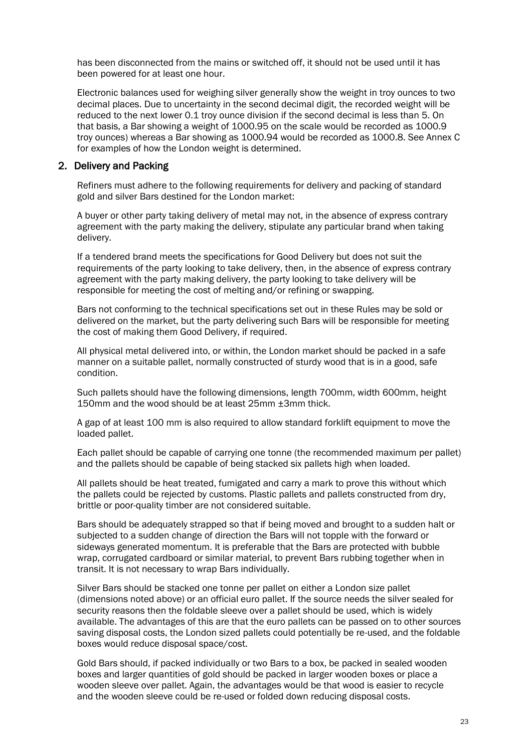has been disconnected from the mains or switched off, it should not be used until it has been powered for at least one hour.

Electronic balances used for weighing silver generally show the weight in troy ounces to two decimal places. Due to uncertainty in the second decimal digit, the recorded weight will be reduced to the next lower 0.1 troy ounce division if the second decimal is less than 5. On that basis, a Bar showing a weight of 1000.95 on the scale would be recorded as 1000.9 troy ounces) whereas a Bar showing as 1000.94 would be recorded as 1000.8. See Annex C for examples of how the London weight is determined.

#### 2. Delivery and Packing

Refiners must adhere to the following requirements for delivery and packing of standard gold and silver Bars destined for the London market:

A buyer or other party taking delivery of metal may not, in the absence of express contrary agreement with the party making the delivery, stipulate any particular brand when taking delivery.

If a tendered brand meets the specifications for Good Delivery but does not suit the requirements of the party looking to take delivery, then, in the absence of express contrary agreement with the party making delivery, the party looking to take delivery will be responsible for meeting the cost of melting and/or refining or swapping.

Bars not conforming to the technical specifications set out in these Rules may be sold or delivered on the market, but the party delivering such Bars will be responsible for meeting the cost of making them Good Delivery, if required.

All physical metal delivered into, or within, the London market should be packed in a safe manner on a suitable pallet, normally constructed of sturdy wood that is in a good, safe condition.

Such pallets should have the following dimensions, length 700mm, width 600mm, height 150mm and the wood should be at least 25mm ±3mm thick.

A gap of at least 100 mm is also required to allow standard forklift equipment to move the loaded pallet.

Each pallet should be capable of carrying one tonne (the recommended maximum per pallet) and the pallets should be capable of being stacked six pallets high when loaded.

All pallets should be heat treated, fumigated and carry a mark to prove this without which the pallets could be rejected by customs. Plastic pallets and pallets constructed from dry, brittle or poor-quality timber are not considered suitable.

Bars should be adequately strapped so that if being moved and brought to a sudden halt or subjected to a sudden change of direction the Bars will not topple with the forward or sideways generated momentum. It is preferable that the Bars are protected with bubble wrap, corrugated cardboard or similar material, to prevent Bars rubbing together when in transit. It is not necessary to wrap Bars individually.

Silver Bars should be stacked one tonne per pallet on either a London size pallet (dimensions noted above) or an official euro pallet. If the source needs the silver sealed for security reasons then the foldable sleeve over a pallet should be used, which is widely available. The advantages of this are that the euro pallets can be passed on to other sources saving disposal costs, the London sized pallets could potentially be re-used, and the foldable boxes would reduce disposal space/cost.

Gold Bars should, if packed individually or two Bars to a box, be packed in sealed wooden boxes and larger quantities of gold should be packed in larger wooden boxes or place a wooden sleeve over pallet. Again, the advantages would be that wood is easier to recycle and the wooden sleeve could be re-used or folded down reducing disposal costs.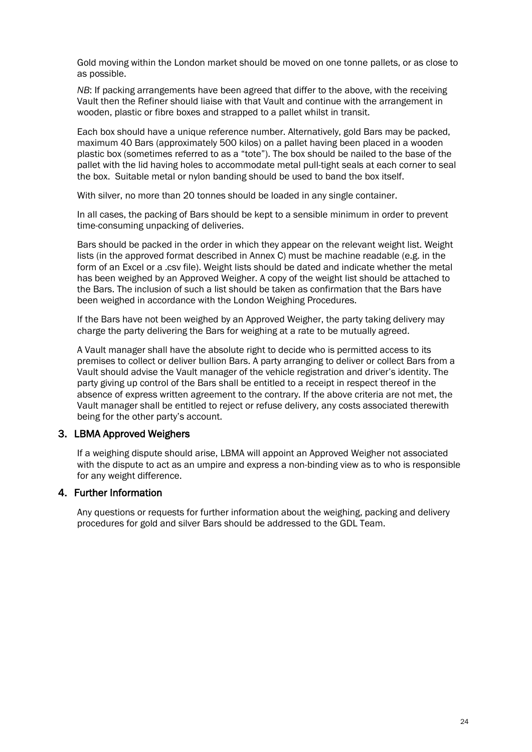Gold moving within the London market should be moved on one tonne pallets, or as close to as possible.

*NB*: If packing arrangements have been agreed that differ to the above, with the receiving Vault then the Refiner should liaise with that Vault and continue with the arrangement in wooden, plastic or fibre boxes and strapped to a pallet whilst in transit.

Each box should have a unique reference number. Alternatively, gold Bars may be packed, maximum 40 Bars (approximately 500 kilos) on a pallet having been placed in a wooden plastic box (sometimes referred to as a "tote"). The box should be nailed to the base of the pallet with the lid having holes to accommodate metal pull-tight seals at each corner to seal the box. Suitable metal or nylon banding should be used to band the box itself.

With silver, no more than 20 tonnes should be loaded in any single container.

In all cases, the packing of Bars should be kept to a sensible minimum in order to prevent time-consuming unpacking of deliveries.

Bars should be packed in the order in which they appear on the relevant weight list. Weight lists (in the approved format described in Annex C) must be machine readable (e.g. in the form of an Excel or a .csv file). Weight lists should be dated and indicate whether the metal has been weighed by an Approved Weigher. A copy of the weight list should be attached to the Bars. The inclusion of such a list should be taken as confirmation that the Bars have been weighed in accordance with the London Weighing Procedures.

If the Bars have not been weighed by an Approved Weigher, the party taking delivery may charge the party delivering the Bars for weighing at a rate to be mutually agreed.

A Vault manager shall have the absolute right to decide who is permitted access to its premises to collect or deliver bullion Bars. A party arranging to deliver or collect Bars from a Vault should advise the Vault manager of the vehicle registration and driver's identity. The party giving up control of the Bars shall be entitled to a receipt in respect thereof in the absence of express written agreement to the contrary. If the above criteria are not met, the Vault manager shall be entitled to reject or refuse delivery, any costs associated therewith being for the other party's account.

#### 3. LBMA Approved Weighers

If a weighing dispute should arise, LBMA will appoint an Approved Weigher not associated with the dispute to act as an umpire and express a non-binding view as to who is responsible for any weight difference.

#### 4. Further Information

Any questions or requests for further information about the weighing, packing and delivery procedures for gold and silver Bars should be addressed to the GDL Team.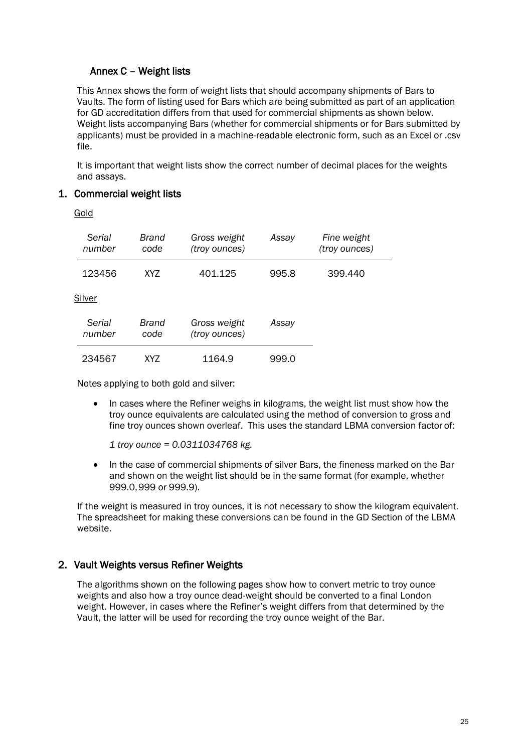## <span id="page-24-0"></span>Annex C – Weight lists

This Annex shows the form of weight lists that should accompany shipments of Bars to Vaults. The form of listing used for Bars which are being submitted as part of an application for GD accreditation differs from that used for commercial shipments as shown below. Weight lists accompanying Bars (whether for commercial shipments or for Bars submitted by applicants) must be provided in a machine-readable electronic form, such as an Excel or .csv file.

It is important that weight lists show the correct number of decimal places for the weights and assays.

#### 1. Commercial weight lists

Gold

| Serial<br>number | Brand<br>code | Gross weight<br>(troy ounces) | Assay | Fine weight<br>(troy ounces) |
|------------------|---------------|-------------------------------|-------|------------------------------|
| 123456           | XY7           | 401.125                       | 995.8 | 399.440                      |
| Silver           |               |                               |       |                              |
| Serial<br>number | Brand<br>code | Gross weight<br>(troy ounces) | Assay |                              |
| 234567           | XY7           | 1164.9                        | 999.0 |                              |

Notes applying to both gold and silver:

• In cases where the Refiner weighs in kilograms, the weight list must show how the troy ounce equivalents are calculated using the method of conversion to gross and fine troy ounces shown overleaf. This uses the standard LBMA conversion factor of:

*1 troy ounce = 0.0311034768 kg.*

• In the case of commercial shipments of silver Bars, the fineness marked on the Bar and shown on the weight list should be in the same format (for example, whether 999.0,999 or 999.9).

If the weight is measured in troy ounces, it is not necessary to show the kilogram equivalent. The spreadsheet for making these conversions can be found in the GD Section of the LBMA website.

#### 2. Vault Weights versus Refiner Weights

The algorithms shown on the following pages show how to convert metric to troy ounce weights and also how a troy ounce dead-weight should be converted to a final London weight. However, in cases where the Refiner's weight differs from that determined by the Vault, the latter will be used for recording the troy ounce weight of the Bar.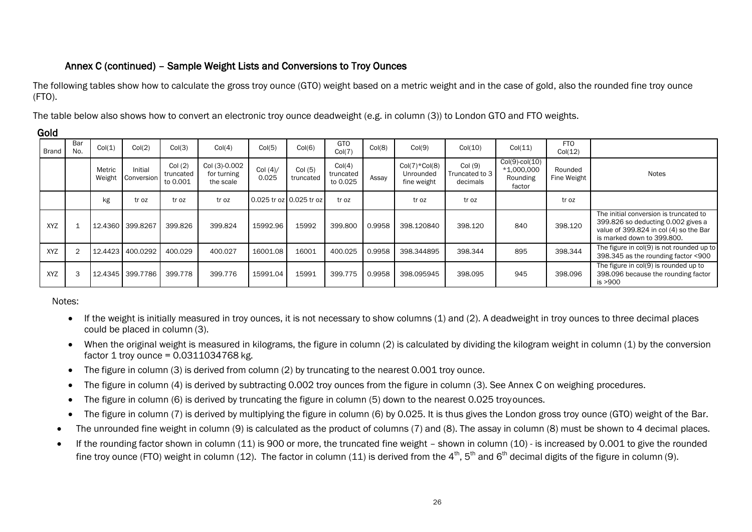## Annex C (continued) – Sample Weight Lists and Conversions to Troy Ounces

The following tables show how to calculate the gross troy ounce (GTO) weight based on a metric weight and in the case of gold, also the rounded fine troy ounce (FTO).

The table below also shows how to convert an electronic troy ounce deadweight (e.g. in column (3)) to London GTO and FTO weights.

| <b>Brand</b> | Bar<br>No. | Col(1) | Col(2)                       | Col(3)                          | Col(4)                                    | Col(5)             | Col(6)                  | <b>GTO</b><br>Col(7)            | Col(8) | Col(9)                                      | Col(10)                               | Col(11)                                                    | <b>FTO</b><br>Col(12)  |                                                                                                                                                      |
|--------------|------------|--------|------------------------------|---------------------------------|-------------------------------------------|--------------------|-------------------------|---------------------------------|--------|---------------------------------------------|---------------------------------------|------------------------------------------------------------|------------------------|------------------------------------------------------------------------------------------------------------------------------------------------------|
|              |            | Metric | Initial<br>Weight Conversion | Col(2)<br>truncated<br>to 0.001 | Col (3)-0.002<br>for turning<br>the scale | Col $(4)$<br>0.025 | Col(5)<br>truncated     | Col(4)<br>truncated<br>to 0.025 | Assay  | $Col(7)*Col(8)$<br>Unrounded<br>fine weight | Col (9)<br>Truncated to 3<br>decimals | $Col(9)$ -col $(10)$<br>$*1,000,000$<br>Rounding<br>factor | Rounded<br>Fine Weight | Notes                                                                                                                                                |
|              |            | kg     | tr oz                        | tr oz                           | tr oz                                     |                    | 0.025 tr oz 0.025 tr oz | tr oz                           |        | tr oz                                       | tr oz                                 |                                                            | tr oz                  |                                                                                                                                                      |
| XYZ          |            |        | 12.4360 399.8267             | 399.826                         | 399.824                                   | 15992.96           | 15992                   | 399,800                         | 0.9958 | 398.120840                                  | 398.120                               | 840                                                        | 398.120                | The initial conversion is truncated to<br>399.826 so deducting 0.002 gives a<br>value of 399.824 in col (4) so the Bar<br>is marked down to 399,800. |
| <b>XYZ</b>   | 2          |        | 12.4423 400.0292             | 400.029                         | 400.027                                   | 16001.08           | 16001                   | 400.025                         | 0.9958 | 398.344895                                  | 398.344                               | 895                                                        | 398.344                | The figure in col(9) is not rounded up to<br>398.345 as the rounding factor <900                                                                     |
| <b>XYZ</b>   | 3          |        | 12.4345 399.7786             | 399,778                         | 399,776                                   | 15991.04           | 15991                   | 399.775                         | 0.9958 | 398.095945                                  | 398.095                               | 945                                                        | 398,096                | The figure in col(9) is rounded up to<br>398.096 because the rounding factor<br>is >900                                                              |

Gold

## Notes:

- If the weight is initially measured in troy ounces, it is not necessary to show columns (1) and (2). A deadweight in troy ounces to three decimal places could be placed in column (3).
- When the original weight is measured in kilograms, the figure in column (2) is calculated by dividing the kilogram weight in column (1) by the conversion factor 1 troy ounce = 0.0311034768 kg.
- The figure in column (3) is derived from column (2) by truncating to the nearest 0.001 troy ounce.
- The figure in column (4) is derived by subtracting 0.002 troy ounces from the figure in column (3). See Annex C on weighing procedures.
- The figure in column (6) is derived by truncating the figure in column (5) down to the nearest 0.025 troyounces.
- The figure in column (7) is derived by multiplying the figure in column (6) by 0.025. It is thus gives the London gross troy ounce (GTO) weight of the Bar.
- The unrounded fine weight in column (9) is calculated as the product of columns (7) and (8). The assay in column (8) must be shown to 4 decimal places.
- If the rounding factor shown in column (11) is 900 or more, the truncated fine weight shown in column (10) is increased by 0.001 to give the rounded fine troy ounce (FTO) weight in column (12). The factor in column (11) is derived from the 4<sup>th</sup>, 5<sup>th</sup> and 6<sup>th</sup> decimal digits of the figure in column (9).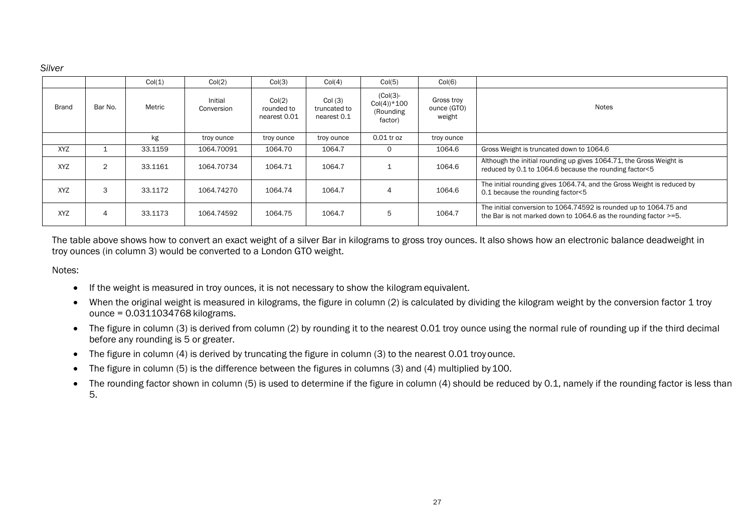*Silver*

|              |                | Col(1)  | Col(2)                | Col(3)                               | Col(4)                                | Col(5)                                                | Col(6)                                                                                                                |                                                                                                                                          |  |
|--------------|----------------|---------|-----------------------|--------------------------------------|---------------------------------------|-------------------------------------------------------|-----------------------------------------------------------------------------------------------------------------------|------------------------------------------------------------------------------------------------------------------------------------------|--|
| <b>Brand</b> | Bar No.        | Metric  | Initial<br>Conversion | Col(2)<br>rounded to<br>nearest 0.01 | Col(3)<br>truncated to<br>nearest 0.1 | $(Col(3)$ -<br>$Col(4))^*100$<br>(Rounding<br>factor) | Gross troy<br>ounce (GTO)<br>weight                                                                                   | Notes                                                                                                                                    |  |
|              |                | kg      | troy ounce            | troy ounce                           | troy ounce                            | 0.01 tr oz                                            | troy ounce                                                                                                            |                                                                                                                                          |  |
| <b>XYZ</b>   |                | 33.1159 | 1064.70091            | 1064.70                              | 1064.7                                | 0                                                     | 1064.6                                                                                                                | Gross Weight is truncated down to 1064.6                                                                                                 |  |
| <b>XYZ</b>   | $\overline{2}$ | 33.1161 | 1064.70734            | 1064.71                              | 1064.7                                |                                                       | 1064.6                                                                                                                | Although the initial rounding up gives 1064.71, the Gross Weight is<br>reduced by 0.1 to 1064.6 because the rounding factor<5            |  |
| <b>XYZ</b>   | 3              | 33.1172 | 1064.74270            | 1064.74                              | 1064.7                                | 4                                                     | The initial rounding gives 1064.74, and the Gross Weight is reduced by<br>1064.6<br>0.1 because the rounding factor<5 |                                                                                                                                          |  |
| <b>XYZ</b>   | 4              | 33.1173 | 1064.74592            | 1064.75                              | 1064.7                                | 5                                                     | 1064.7                                                                                                                | The initial conversion to 1064.74592 is rounded up to 1064.75 and<br>the Bar is not marked down to 1064.6 as the rounding factor $>=$ 5. |  |

The table above shows how to convert an exact weight of a silver Bar in kilograms to gross troy ounces. It also shows how an electronic balance deadweight in troy ounces (in column 3) would be converted to a London GTO weight.

#### Notes:

- If the weight is measured in troy ounces, it is not necessary to show the kilogram equivalent.
- When the original weight is measured in kilograms, the figure in column (2) is calculated by dividing the kilogram weight by the conversion factor 1 troy ounce = 0.0311034768 kilograms.
- The figure in column (3) is derived from column (2) by rounding it to the nearest 0.01 troy ounce using the normal rule of rounding up if the third decimal before any rounding is 5 or greater.
- The figure in column (4) is derived by truncating the figure in column (3) to the nearest 0.01 troy ounce.
- The figure in column (5) is the difference between the figures in columns (3) and (4) multiplied by 100.
- The rounding factor shown in column (5) is used to determine if the figure in column (4) should be reduced by 0.1, namely if the rounding factor is less than 5.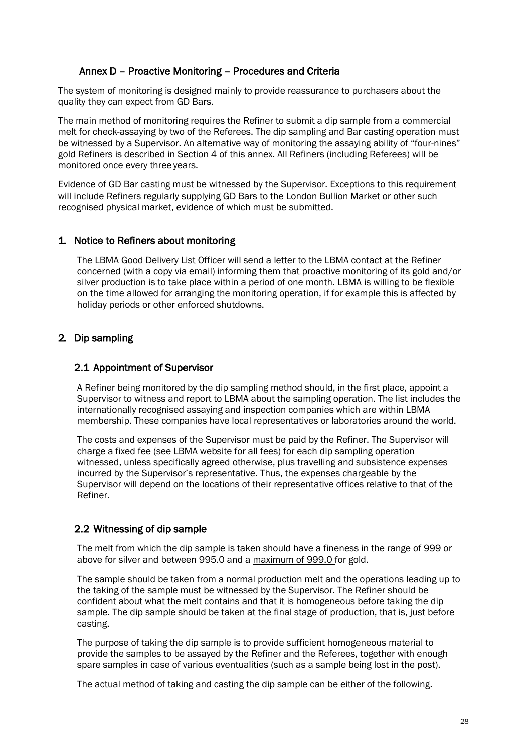## <span id="page-27-0"></span>Annex D – Proactive Monitoring – Procedures and Criteria

The system of monitoring is designed mainly to provide reassurance to purchasers about the quality they can expect from GD Bars.

The main method of monitoring requires the Refiner to submit a dip sample from a commercial melt for check-assaying by two of the Referees. The dip sampling and Bar casting operation must be witnessed by a Supervisor. An alternative way of monitoring the assaying ability of "four-nines" gold Refiners is described in Section 4 of this annex. All Refiners (including Referees) will be monitored once every three years.

Evidence of GD Bar casting must be witnessed by the Supervisor. Exceptions to this requirement will include Refiners regularly supplying GD Bars to the London Bullion Market or other such recognised physical market, evidence of which must be submitted.

#### 1. Notice to Refiners about monitoring

The LBMA Good Delivery List Officer will send a letter to the LBMA contact at the Refiner concerned (with a copy via email) informing them that proactive monitoring of its gold and/or silver production is to take place within a period of one month. LBMA is willing to be flexible on the time allowed for arranging the monitoring operation, if for example this is affected by holiday periods or other enforced shutdowns.

## 2. Dip sampling

#### 2.1 Appointment of Supervisor

A Refiner being monitored by the dip sampling method should, in the first place, appoint a Supervisor to witness and report to LBMA about the sampling operation. The list includes the internationally recognised assaying and inspection companies which are within LBMA membership. These companies have local representatives or laboratories around the world.

The costs and expenses of the Supervisor must be paid by the Refiner. The Supervisor will charge a fixed fee (see LBMA website for all fees) for each dip sampling operation witnessed, unless specifically agreed otherwise, plus travelling and subsistence expenses incurred by the Supervisor's representative. Thus, the expenses chargeable by the Supervisor will depend on the locations of their representative offices relative to that of the Refiner.

## 2.2 Witnessing of dip sample

The melt from which the dip sample is taken should have a fineness in the range of 999 or above for silver and between 995.0 and a maximum of 999.0 for gold.

The sample should be taken from a normal production melt and the operations leading up to the taking of the sample must be witnessed by the Supervisor. The Refiner should be confident about what the melt contains and that it is homogeneous before taking the dip sample. The dip sample should be taken at the final stage of production, that is, just before casting.

The purpose of taking the dip sample is to provide sufficient homogeneous material to provide the samples to be assayed by the Refiner and the Referees, together with enough spare samples in case of various eventualities (such as a sample being lost in the post).

The actual method of taking and casting the dip sample can be either of the following.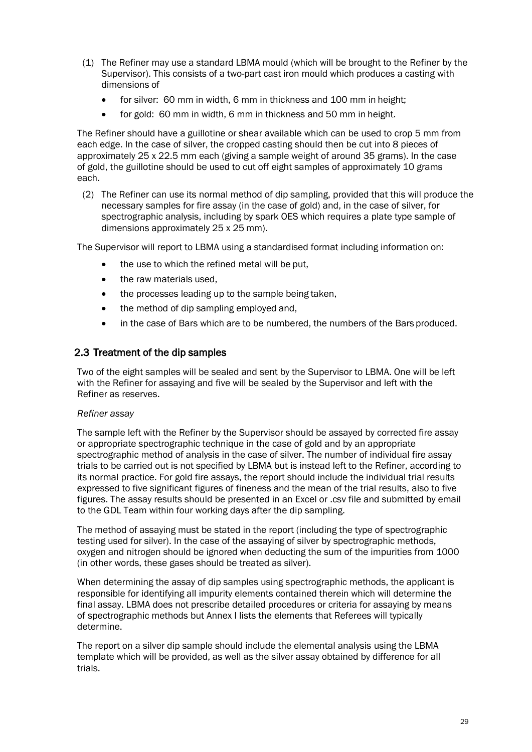- (1) The Refiner may use a standard LBMA mould (which will be brought to the Refiner by the Supervisor). This consists of a two-part cast iron mould which produces a casting with dimensions of
	- for silver: 60 mm in width, 6 mm in thickness and 100 mm in height;
	- for gold: 60 mm in width, 6 mm in thickness and 50 mm in height.

The Refiner should have a guillotine or shear available which can be used to crop 5 mm from each edge. In the case of silver, the cropped casting should then be cut into 8 pieces of approximately 25 x 22.5 mm each (giving a sample weight of around 35 grams). In the case of gold, the guillotine should be used to cut off eight samples of approximately 10 grams each.

(2) The Refiner can use its normal method of dip sampling, provided that this will produce the necessary samples for fire assay (in the case of gold) and, in the case of silver, for spectrographic analysis, including by spark OES which requires a plate type sample of dimensions approximately 25 x 25 mm).

The Supervisor will report to LBMA using a standardised format including information on:

- the use to which the refined metal will be put,
- the raw materials used,
- the processes leading up to the sample being taken,
- the method of dip sampling employed and,
- in the case of Bars which are to be numbered, the numbers of the Bars produced.

#### 2.3 Treatment of the dip samples

Two of the eight samples will be sealed and sent by the Supervisor to LBMA. One will be left with the Refiner for assaying and five will be sealed by the Supervisor and left with the Refiner as reserves.

#### *Refiner assay*

The sample left with the Refiner by the Supervisor should be assayed by corrected fire assay or appropriate spectrographic technique in the case of gold and by an appropriate spectrographic method of analysis in the case of silver. The number of individual fire assay trials to be carried out is not specified by LBMA but is instead left to the Refiner, according to its normal practice. For gold fire assays, the report should include the individual trial results expressed to five significant figures of fineness and the mean of the trial results, also to five figures. The assay results should be presented in an Excel or .csv file and submitted by email to the GDL Team within four working days after the dip sampling.

The method of assaying must be stated in the report (including the type of spectrographic testing used for silver). In the case of the assaying of silver by spectrographic methods, oxygen and nitrogen should be ignored when deducting the sum of the impurities from 1000 (in other words, these gases should be treated as silver).

When determining the assay of dip samples using spectrographic methods, the applicant is responsible for identifying all impurity elements contained therein which will determine the final assay. LBMA does not prescribe detailed procedures or criteria for assaying by means of spectrographic methods but Annex I lists the elements that Referees will typically determine.

The report on a silver dip sample should include the elemental analysis using the LBMA template which will be provided, as well as the silver assay obtained by difference for all trials.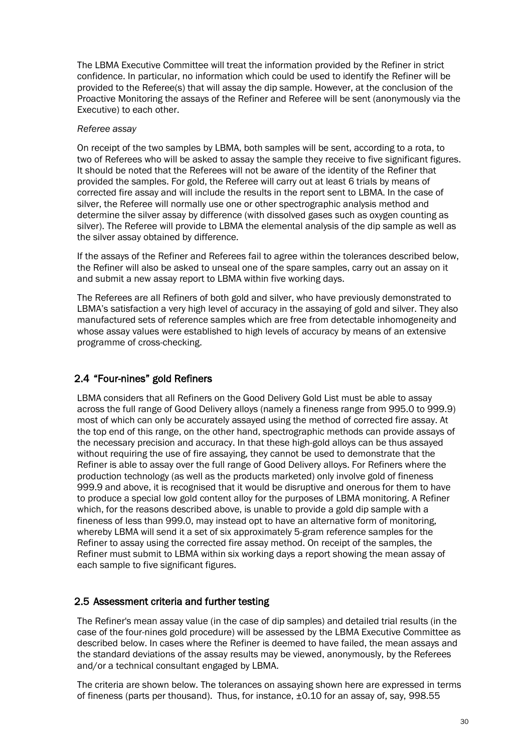The LBMA Executive Committee will treat the information provided by the Refiner in strict confidence. In particular, no information which could be used to identify the Refiner will be provided to the Referee(s) that will assay the dip sample. However, at the conclusion of the Proactive Monitoring the assays of the Refiner and Referee will be sent (anonymously via the Executive) to each other.

#### *Referee assay*

On receipt of the two samples by LBMA, both samples will be sent, according to a rota, to two of Referees who will be asked to assay the sample they receive to five significant figures. It should be noted that the Referees will not be aware of the identity of the Refiner that provided the samples. For gold, the Referee will carry out at least 6 trials by means of corrected fire assay and will include the results in the report sent to LBMA. In the case of silver, the Referee will normally use one or other spectrographic analysis method and determine the silver assay by difference (with dissolved gases such as oxygen counting as silver). The Referee will provide to LBMA the elemental analysis of the dip sample as well as the silver assay obtained by difference.

If the assays of the Refiner and Referees fail to agree within the tolerances described below, the Refiner will also be asked to unseal one of the spare samples, carry out an assay on it and submit a new assay report to LBMA within five working days.

The Referees are all Refiners of both gold and silver, who have previously demonstrated to LBMA's satisfaction a very high level of accuracy in the assaying of gold and silver. They also manufactured sets of reference samples which are free from detectable inhomogeneity and whose assay values were established to high levels of accuracy by means of an extensive programme of cross-checking.

## 2.4 "Four-nines" gold Refiners

LBMA considers that all Refiners on the Good Delivery Gold List must be able to assay across the full range of Good Delivery alloys (namely a fineness range from 995.0 to 999.9) most of which can only be accurately assayed using the method of corrected fire assay. At the top end of this range, on the other hand, spectrographic methods can provide assays of the necessary precision and accuracy. In that these high-gold alloys can be thus assayed without requiring the use of fire assaying, they cannot be used to demonstrate that the Refiner is able to assay over the full range of Good Delivery alloys. For Refiners where the production technology (as well as the products marketed) only involve gold of fineness 999.9 and above, it is recognised that it would be disruptive and onerous for them to have to produce a special low gold content alloy for the purposes of LBMA monitoring. A Refiner which, for the reasons described above, is unable to provide a gold dip sample with a fineness of less than 999.0, may instead opt to have an alternative form of monitoring, whereby LBMA will send it a set of six approximately 5-gram reference samples for the Refiner to assay using the corrected fire assay method. On receipt of the samples, the Refiner must submit to LBMA within six working days a report showing the mean assay of each sample to five significant figures.

## 2.5 Assessment criteria and further testing

The Refiner's mean assay value (in the case of dip samples) and detailed trial results (in the case of the four-nines gold procedure) will be assessed by the LBMA Executive Committee as described below. In cases where the Refiner is deemed to have failed, the mean assays and the standard deviations of the assay results may be viewed, anonymously, by the Referees and/or a technical consultant engaged by LBMA.

The criteria are shown below. The tolerances on assaying shown here are expressed in terms of fineness (parts per thousand). Thus, for instance, ±0.10 for an assay of, say, 998.55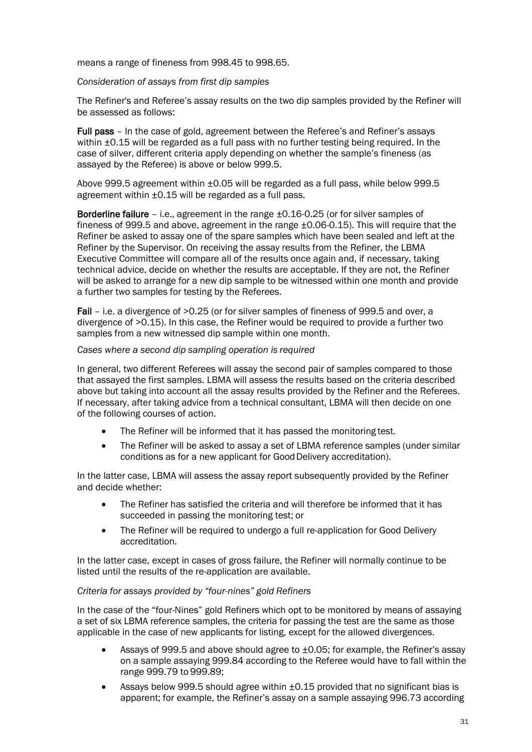means a range of fineness from 998.45 to 998.65.

#### *Consideration of assays from first dip samples*

The Refiner's and Referee's assay results on the two dip samples provided by the Refiner will be assessed as follows:

Full pass – In the case of gold, agreement between the Referee's and Refiner's assays within  $\pm 0.15$  will be regarded as a full pass with no further testing being required. In the case of silver, different criteria apply depending on whether the sample's fineness (as assayed by the Referee) is above or below 999.5.

Above 999.5 agreement within ±0.05 will be regarded as a full pass, while below 999.5 agreement within ±0.15 will be regarded as a full pass.

Borderline failure – i.e., agreement in the range ±0.16-0.25 (or for silver samples of fineness of 999.5 and above, agreement in the range ±0.06-0.15). This will require that the Refiner be asked to assay one of the spare samples which have been sealed and left at the Refiner by the Supervisor. On receiving the assay results from the Refiner, the LBMA Executive Committee will compare all of the results once again and, if necessary, taking technical advice, decide on whether the results are acceptable. If they are not, the Refiner will be asked to arrange for a new dip sample to be witnessed within one month and provide a further two samples for testing by the Referees.

Fail – i.e. a divergence of >0.25 (or for silver samples of fineness of 999.5 and over, a divergence of >0.15). In this case, the Refiner would be required to provide a further two samples from a new witnessed dip sample within one month.

#### *Cases where a second dip sampling operation is required*

In general, two different Referees will assay the second pair of samples compared to those that assayed the first samples. LBMA will assess the results based on the criteria described above but taking into account all the assay results provided by the Refiner and the Referees. If necessary, after taking advice from a technical consultant, LBMA will then decide on one of the following courses of action.

- The Refiner will be informed that it has passed the monitoring test.
- The Refiner will be asked to assay a set of LBMA reference samples (under similar conditions as for a new applicant for Good Delivery accreditation).

In the latter case, LBMA will assess the assay report subsequently provided by the Refiner and decide whether:

- The Refiner has satisfied the criteria and will therefore be informed that it has succeeded in passing the monitoring test; or
- The Refiner will be required to undergo a full re-application for Good Delivery accreditation.

In the latter case, except in cases of gross failure, the Refiner will normally continue to be listed until the results of the re-application are available.

#### *Criteria for assays provided by "four-nines" gold Refiners*

In the case of the "four-Nines" gold Refiners which opt to be monitored by means of assaying a set of six LBMA reference samples, the criteria for passing the test are the same as those applicable in the case of new applicants for listing, except for the allowed divergences.

- Assays of 999.5 and above should agree to ±0.05; for example, the Refiner's assay on a sample assaying 999.84 according to the Referee would have to fall within the range 999.79 to 999.89;
- Assays below 999.5 should agree within  $\pm 0.15$  provided that no significant bias is apparent; for example, the Refiner's assay on a sample assaying 996.73 according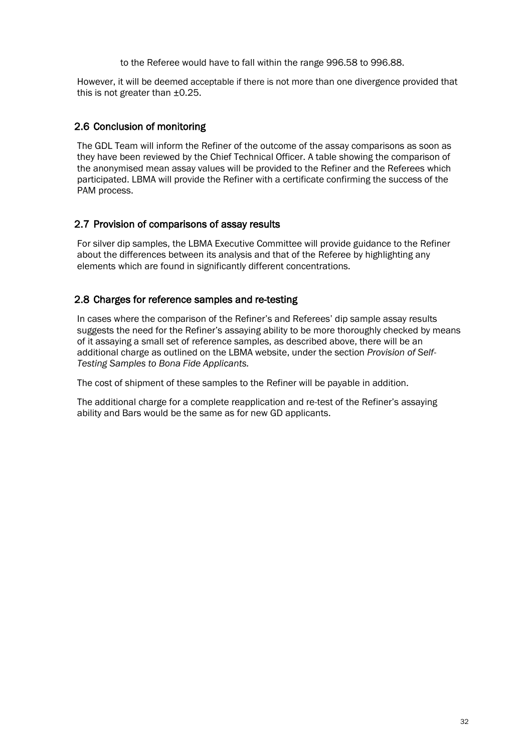to the Referee would have to fall within the range 996.58 to 996.88.

However, it will be deemed acceptable if there is not more than one divergence provided that this is not greater than ±0.25.

### 2.6 Conclusion of monitoring

The GDL Team will inform the Refiner of the outcome of the assay comparisons as soon as they have been reviewed by the Chief Technical Officer. A table showing the comparison of the anonymised mean assay values will be provided to the Refiner and the Referees which participated. LBMA will provide the Refiner with a certificate confirming the success of the PAM process.

#### 2.7 Provision of comparisons of assay results

For silver dip samples, the LBMA Executive Committee will provide guidance to the Refiner about the differences between its analysis and that of the Referee by highlighting any elements which are found in significantly different concentrations.

## 2.8 Charges for reference samples and re-testing

In cases where the comparison of the Refiner's and Referees' dip sample assay results suggests the need for the Refiner's assaying ability to be more thoroughly checked by means of it assaying a small set of reference samples, as described above, there will be an additional charge as outlined on the LBMA website, under the section *Provision of Self-Testing Samples to Bona Fide Applicants.*

The cost of shipment of these samples to the Refiner will be payable in addition.

The additional charge for a complete reapplication and re-test of the Refiner's assaying ability and Bars would be the same as for new GD applicants.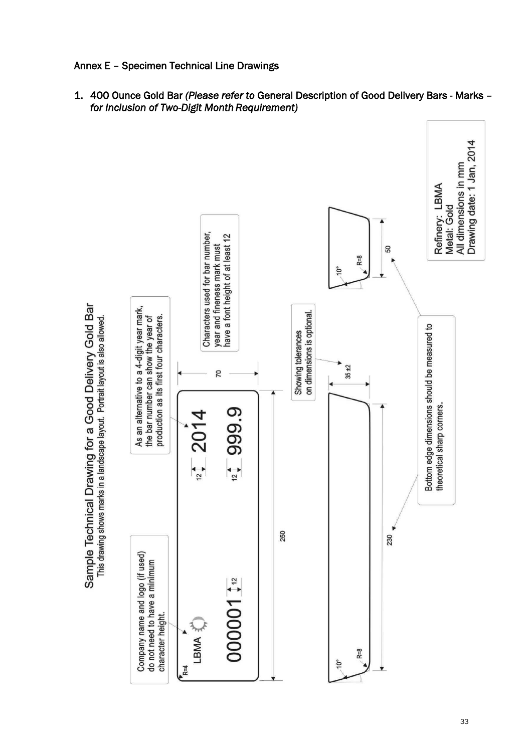<span id="page-32-0"></span>

1. 400 Ounce Gold Bar *(Please refer to* General Description of Good Delivery Bars - Marks *– for Inclusion of Two-Digit Month Requirement)*

Sample Technical Drawing for a Good Delivery Gold Bar This drawing shows marks in a landscape layout. Portrait layout is also allowed.

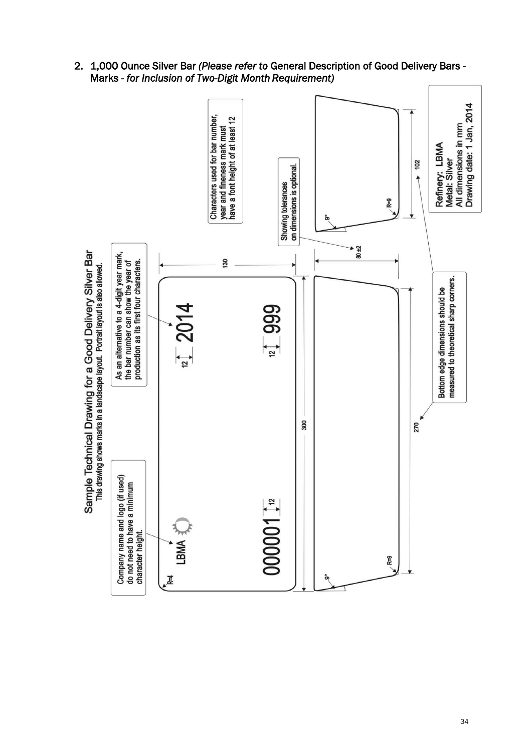2. 1,000 Ounce Silver Bar *(Please refer to* General Description of Good Delivery Bars - Marks *- for Inclusion of Two-Digit Month Requirement)*

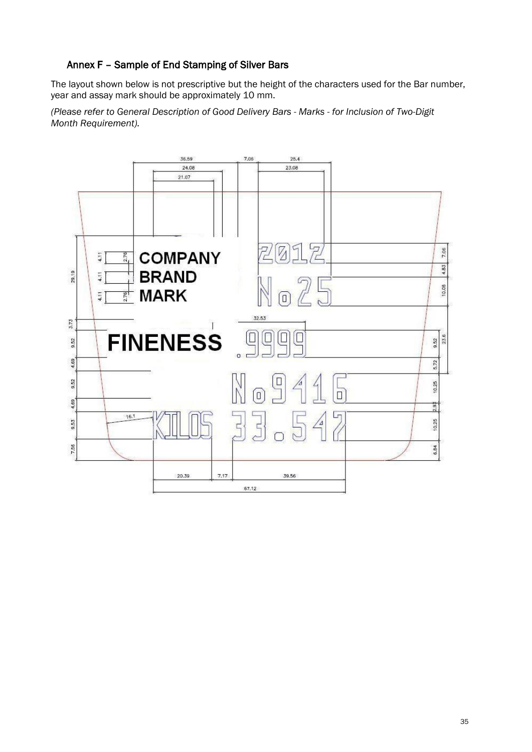## <span id="page-34-0"></span>Annex F – Sample of End Stamping of Silver Bars

The layout shown below is not prescriptive but the height of the characters used for the Bar number, year and assay mark should be approximately 10 mm.

*(Please refer to General Description of Good Delivery Bars - Marks - for Inclusion of Two-Digit Month Requirement).*

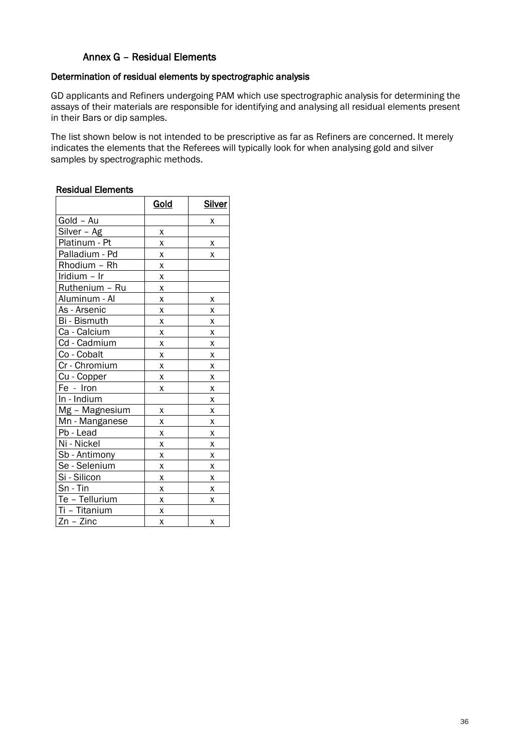## Annex G – Residual Elements

#### <span id="page-35-0"></span>Determination of residual elements by spectrographic analysis

GD applicants and Refiners undergoing PAM which use spectrographic analysis for determining the assays of their materials are responsible for identifying and analysing all residual elements present in their Bars or dip samples.

The list shown below is not intended to be prescriptive as far as Refiners are concerned. It merely indicates the elements that the Referees will typically look for when analysing gold and silver samples by spectrographic methods.

#### Residual Elements

|                        | Gold | <b>Silver</b> |
|------------------------|------|---------------|
| Gold - Au              |      | X             |
| Silver - Ag            | χ    |               |
| Platinum - Pt          | x    | Χ             |
| Palladium - Pd         | X    | Χ             |
| Rhodium - Rh           | Χ    |               |
| Iridium - Ir           | Χ    |               |
| Ruthenium - Ru         | X    |               |
| Aluminum - Al          | X    | х             |
| As - Arsenic           | Χ    | х             |
| Bi - Bismuth           | X    | X             |
| Ca - Calcium           | Χ    | Χ             |
| Cd - Cadmium           | Χ    | X             |
| Co - Cobalt            | X    | X             |
| Cr - Chromium          | Χ    | Χ             |
| Cu - Copper            | Χ    | X             |
| Fe - Iron              | X    | Χ             |
| In - Indium            |      | X             |
| Mg - Magnesium         | x    | Χ             |
| Mn - Manganese         | X    | X             |
| Pb - Lead              | Χ    | Χ             |
| Ni - Nickel            | X    | X             |
| Sb - Antimony          | χ    | Χ             |
| Se - Selenium          | Χ    | X             |
| Si - Silicon           | Χ    | X             |
| $\overline{S}$ n - Tin | Χ    | Χ             |
| Te - Tellurium         | Χ    | X             |
| Ti - Titanium          | Χ    |               |
| $Zn - Zinc$            | X    | X             |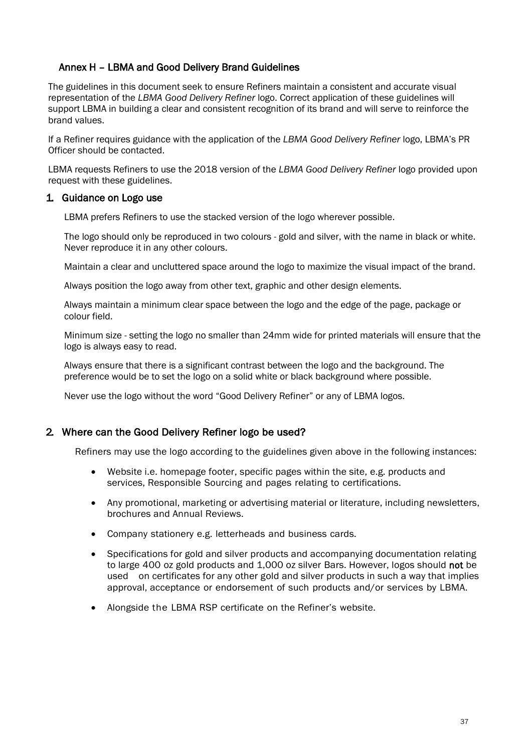## <span id="page-36-0"></span>Annex H – LBMA and Good Delivery Brand Guidelines

The guidelines in this document seek to ensure Refiners maintain a consistent and accurate visual representation of the *LBMA Good Delivery Refiner* logo. Correct application of these guidelines will support LBMA in building a clear and consistent recognition of its brand and will serve to reinforce the brand values.

If a Refiner requires guidance with the application of the *LBMA Good Delivery Refiner* logo, LBMA's PR Officer should be contacted.

LBMA requests Refiners to use the 2018 version of the *LBMA Good Delivery Refiner* logo provided upon request with these guidelines.

#### 1. Guidance on Logo use

LBMA prefers Refiners to use the stacked version of the logo wherever possible.

The logo should only be reproduced in two colours - gold and silver, with the name in black or white. Never reproduce it in any other colours.

Maintain a clear and uncluttered space around the logo to maximize the visual impact of the brand.

Always position the logo away from other text, graphic and other design elements.

Always maintain a minimum clear space between the logo and the edge of the page, package or colour field.

Minimum size - setting the logo no smaller than 24mm wide for printed materials will ensure that the logo is always easy to read.

Always ensure that there is a significant contrast between the logo and the background. The preference would be to set the logo on a solid white or black background where possible.

Never use the logo without the word "Good Delivery Refiner" or any of LBMA logos.

## 2. Where can the Good Delivery Refiner logo be used?

Refiners may use the logo according to the guidelines given above in the following instances:

- Website i.e. homepage footer, specific pages within the site, e.g. products and services, Responsible Sourcing and pages relating to certifications.
- Any promotional, marketing or advertising material or literature, including newsletters, brochures and Annual Reviews.
- Company stationery e.g. letterheads and business cards.
- Specifications for gold and silver products and accompanying documentation relating to large 400 oz gold products and 1,000 oz silver Bars. However, logos should not be used on certificates for any other gold and silver products in such a way that implies approval, acceptance or endorsement of such products and/or services by LBMA.
- Alongside the LBMA RSP certificate on the Refiner's website.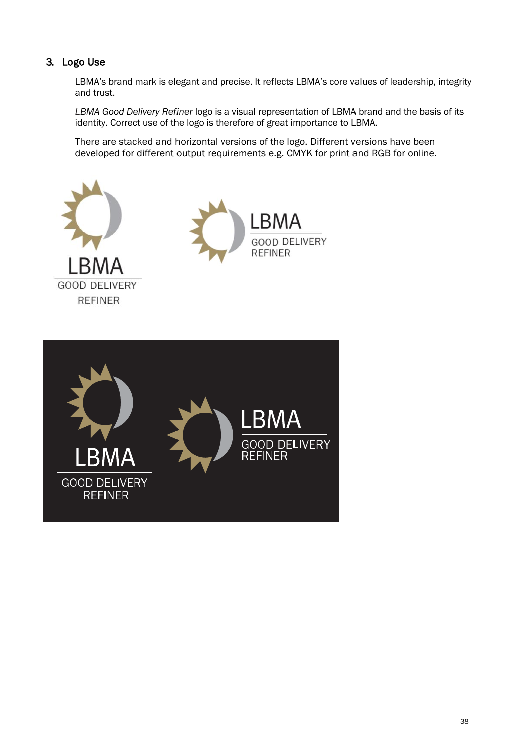## 3. Logo Use

LBMA's brand mark is elegant and precise. It reflects LBMA's core values of leadership, integrity and trust.

*LBMA Good Delivery Refiner* logo is a visual representation of LBMA brand and the basis of its identity. Correct use of the logo is therefore of great importance to LBMA.

There are stacked and horizontal versions of the logo. Different versions have been developed for different output requirements e.g. CMYK for print and RGB for online.